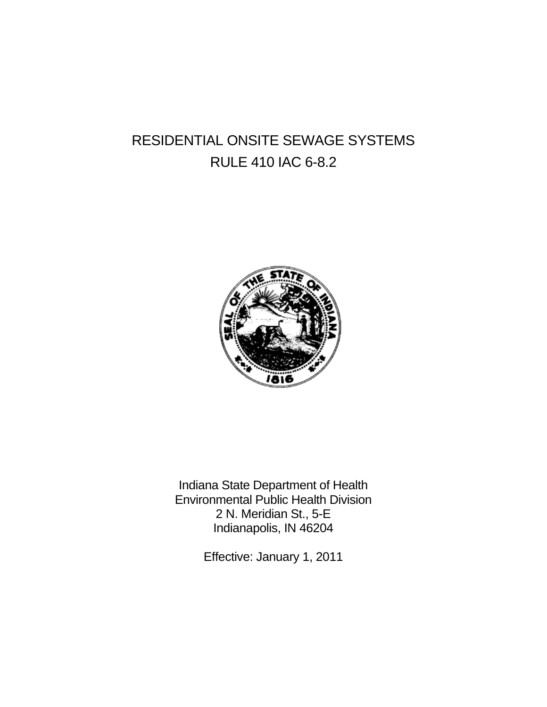# RESIDENTIAL ONSITE SEWAGE SYSTEMS RULE 410 IAC 6-8.2



Indiana State Department of Health Environmental Public Health Division 2 N. Meridian St., 5-E Indianapolis, IN 46204

Effective: January 1, 2011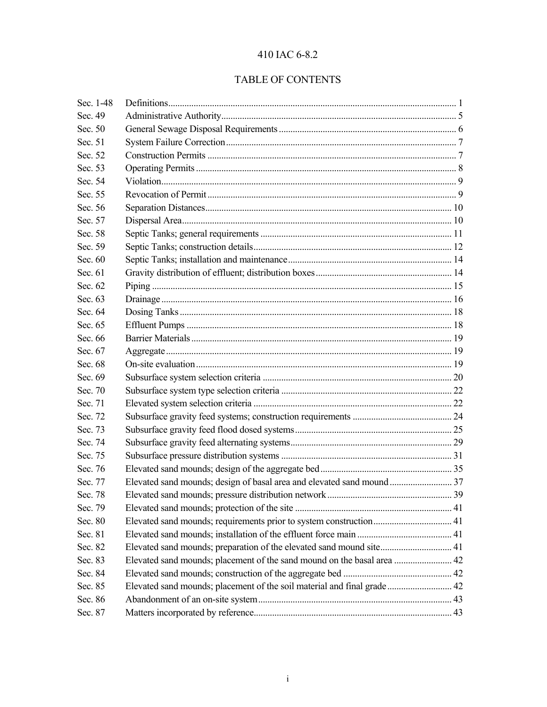# 410 IAC 6-8.2

# TABLE OF CONTENTS

| Sec. 1-48 |                                                                         |  |
|-----------|-------------------------------------------------------------------------|--|
| Sec. 49   |                                                                         |  |
| Sec. 50   |                                                                         |  |
| Sec. 51   |                                                                         |  |
| Sec. 52   |                                                                         |  |
| Sec. 53   |                                                                         |  |
| Sec. 54   |                                                                         |  |
| Sec. 55   |                                                                         |  |
| Sec. 56   |                                                                         |  |
| Sec. 57   |                                                                         |  |
| Sec. 58   |                                                                         |  |
| Sec. 59   |                                                                         |  |
| Sec. 60   |                                                                         |  |
| Sec. 61   |                                                                         |  |
| Sec. 62   |                                                                         |  |
| Sec. 63   |                                                                         |  |
| Sec. 64   |                                                                         |  |
| Sec. 65   |                                                                         |  |
| Sec. 66   |                                                                         |  |
| Sec. 67   |                                                                         |  |
| Sec. 68   |                                                                         |  |
| Sec. 69   |                                                                         |  |
| Sec. 70   |                                                                         |  |
| Sec. 71   |                                                                         |  |
| Sec. 72   |                                                                         |  |
| Sec. 73   |                                                                         |  |
| Sec. 74   |                                                                         |  |
| Sec. 75   |                                                                         |  |
| Sec. 76   |                                                                         |  |
| Sec. 77   |                                                                         |  |
| Sec. 78   |                                                                         |  |
| Sec. 79   |                                                                         |  |
| Sec. 80   |                                                                         |  |
| Sec. 81   |                                                                         |  |
| Sec. 82   | Elevated sand mounds; preparation of the elevated sand mound site 41    |  |
| Sec. 83   | Elevated sand mounds; placement of the sand mound on the basal area  42 |  |
| Sec. 84   |                                                                         |  |
| Sec. 85   | Elevated sand mounds; placement of the soil material and final grade 42 |  |
| Sec. 86   |                                                                         |  |
| Sec. 87   |                                                                         |  |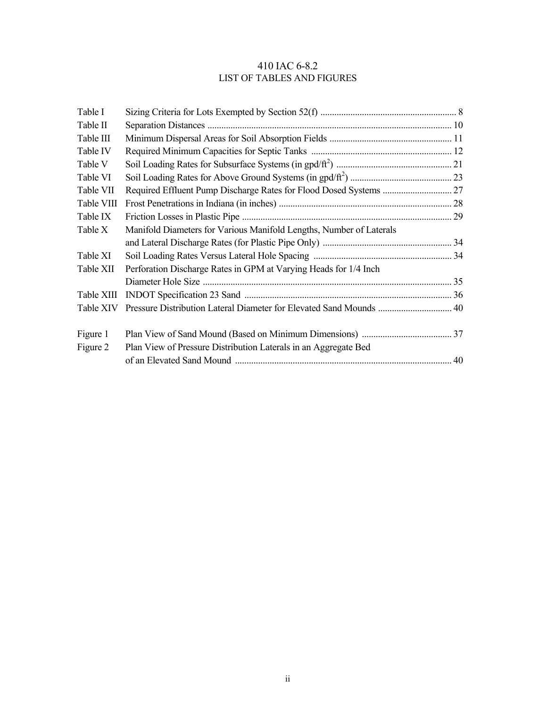# 410 IAC 6-8.2 LIST OF TABLES AND FIGURES

| Table I    |                                                                     |  |
|------------|---------------------------------------------------------------------|--|
| Table II   |                                                                     |  |
| Table III  |                                                                     |  |
| Table IV   |                                                                     |  |
| Table V    |                                                                     |  |
| Table VI   |                                                                     |  |
| Table VII  |                                                                     |  |
| Table VIII |                                                                     |  |
| Table IX   |                                                                     |  |
| Table X    | Manifold Diameters for Various Manifold Lengths, Number of Laterals |  |
|            |                                                                     |  |
| Table XI   |                                                                     |  |
| Table XII  | Perforation Discharge Rates in GPM at Varying Heads for 1/4 Inch    |  |
|            |                                                                     |  |
| Table XIII |                                                                     |  |
| Table XIV  | Pressure Distribution Lateral Diameter for Elevated Sand Mounds  40 |  |
| Figure 1   |                                                                     |  |
| Figure 2   | Plan View of Pressure Distribution Laterals in an Aggregate Bed     |  |
|            |                                                                     |  |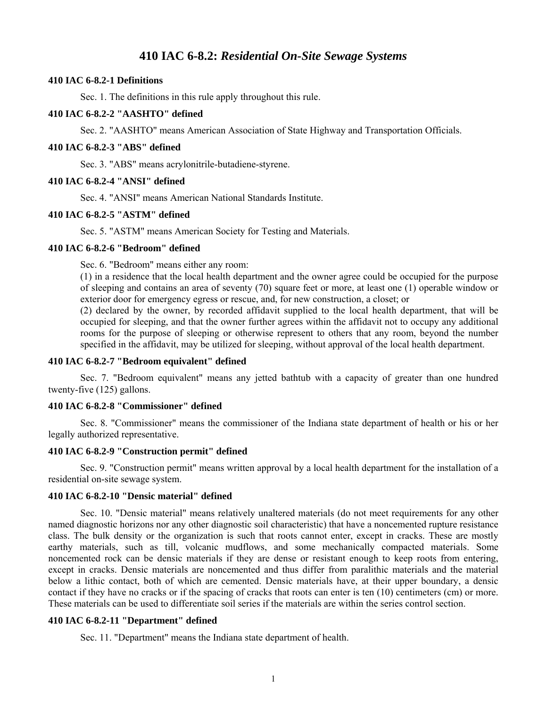## **410 IAC 6-8.2:** *Residential On-Site Sewage Systems*

#### **410 IAC 6-8.2-1 Definitions**

Sec. 1. The definitions in this rule apply throughout this rule.

#### **410 IAC 6-8.2-2 "AASHTO" defined**

Sec. 2. "AASHTO" means American Association of State Highway and Transportation Officials.

#### **410 IAC 6-8.2-3 "ABS" defined**

Sec. 3. "ABS" means acrylonitrile-butadiene-styrene.

#### **410 IAC 6-8.2-4 "ANSI" defined**

Sec. 4. "ANSI" means American National Standards Institute.

#### **410 IAC 6-8.2-5 "ASTM" defined**

Sec. 5. "ASTM" means American Society for Testing and Materials.

#### **410 IAC 6-8.2-6 "Bedroom" defined**

Sec. 6. "Bedroom" means either any room:

(1) in a residence that the local health department and the owner agree could be occupied for the purpose of sleeping and contains an area of seventy (70) square feet or more, at least one (1) operable window or exterior door for emergency egress or rescue, and, for new construction, a closet; or

(2) declared by the owner, by recorded affidavit supplied to the local health department, that will be occupied for sleeping, and that the owner further agrees within the affidavit not to occupy any additional rooms for the purpose of sleeping or otherwise represent to others that any room, beyond the number specified in the affidavit, may be utilized for sleeping, without approval of the local health department.

#### **410 IAC 6-8.2-7 "Bedroom equivalent" defined**

 Sec. 7. "Bedroom equivalent" means any jetted bathtub with a capacity of greater than one hundred twenty-five (125) gallons.

#### **410 IAC 6-8.2-8 "Commissioner" defined**

 Sec. 8. "Commissioner" means the commissioner of the Indiana state department of health or his or her legally authorized representative.

#### **410 IAC 6-8.2-9 "Construction permit" defined**

 Sec. 9. "Construction permit" means written approval by a local health department for the installation of a residential on-site sewage system.

#### **410 IAC 6-8.2-10 "Densic material" defined**

 Sec. 10. "Densic material" means relatively unaltered materials (do not meet requirements for any other named diagnostic horizons nor any other diagnostic soil characteristic) that have a noncemented rupture resistance class. The bulk density or the organization is such that roots cannot enter, except in cracks. These are mostly earthy materials, such as till, volcanic mudflows, and some mechanically compacted materials. Some noncemented rock can be densic materials if they are dense or resistant enough to keep roots from entering, except in cracks. Densic materials are noncemented and thus differ from paralithic materials and the material below a lithic contact, both of which are cemented. Densic materials have, at their upper boundary, a densic contact if they have no cracks or if the spacing of cracks that roots can enter is ten (10) centimeters (cm) or more. These materials can be used to differentiate soil series if the materials are within the series control section.

#### **410 IAC 6-8.2-11 "Department" defined**

Sec. 11. "Department" means the Indiana state department of health.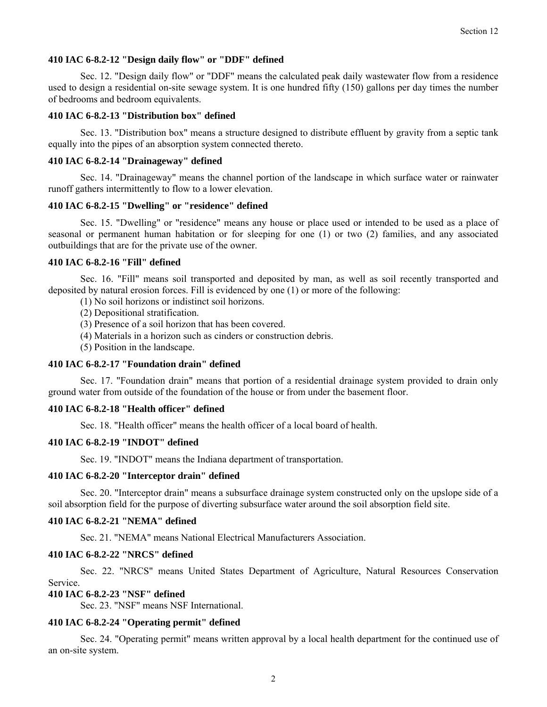#### **410 IAC 6-8.2-12 "Design daily flow" or "DDF" defined**

 Sec. 12. "Design daily flow" or "DDF" means the calculated peak daily wastewater flow from a residence used to design a residential on-site sewage system. It is one hundred fifty (150) gallons per day times the number of bedrooms and bedroom equivalents.

#### **410 IAC 6-8.2-13 "Distribution box" defined**

 Sec. 13. "Distribution box" means a structure designed to distribute effluent by gravity from a septic tank equally into the pipes of an absorption system connected thereto.

#### **410 IAC 6-8.2-14 "Drainageway" defined**

 Sec. 14. "Drainageway" means the channel portion of the landscape in which surface water or rainwater runoff gathers intermittently to flow to a lower elevation.

#### **410 IAC 6-8.2-15 "Dwelling" or "residence" defined**

 Sec. 15. "Dwelling" or "residence" means any house or place used or intended to be used as a place of seasonal or permanent human habitation or for sleeping for one (1) or two (2) families, and any associated outbuildings that are for the private use of the owner.

#### **410 IAC 6-8.2-16 "Fill" defined**

 Sec. 16. "Fill" means soil transported and deposited by man, as well as soil recently transported and deposited by natural erosion forces. Fill is evidenced by one (1) or more of the following:

- (1) No soil horizons or indistinct soil horizons.
- (2) Depositional stratification.
- (3) Presence of a soil horizon that has been covered.
- (4) Materials in a horizon such as cinders or construction debris.
- (5) Position in the landscape.

#### **410 IAC 6-8.2-17 "Foundation drain" defined**

 Sec. 17. "Foundation drain" means that portion of a residential drainage system provided to drain only ground water from outside of the foundation of the house or from under the basement floor.

#### **410 IAC 6-8.2-18 "Health officer" defined**

Sec. 18. "Health officer" means the health officer of a local board of health.

#### **410 IAC 6-8.2-19 "INDOT" defined**

Sec. 19. "INDOT" means the Indiana department of transportation.

#### **410 IAC 6-8.2-20 "Interceptor drain" defined**

 Sec. 20. "Interceptor drain" means a subsurface drainage system constructed only on the upslope side of a soil absorption field for the purpose of diverting subsurface water around the soil absorption field site.

#### **410 IAC 6-8.2-21 "NEMA" defined**

Sec. 21. "NEMA" means National Electrical Manufacturers Association.

#### **410 IAC 6-8.2-22 "NRCS" defined**

 Sec. 22. "NRCS" means United States Department of Agriculture, Natural Resources Conservation Service.

## **410 IAC 6-8.2-23 "NSF" defined**

Sec. 23. "NSF" means NSF International.

#### **410 IAC 6-8.2-24 "Operating permit" defined**

 Sec. 24. "Operating permit" means written approval by a local health department for the continued use of an on-site system.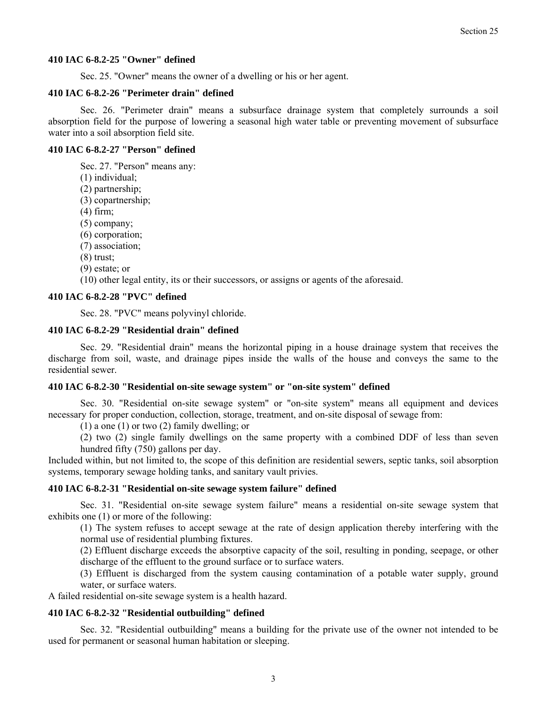#### **410 IAC 6-8.2-25 "Owner" defined**

Sec. 25. "Owner" means the owner of a dwelling or his or her agent.

#### **410 IAC 6-8.2-26 "Perimeter drain" defined**

 Sec. 26. "Perimeter drain" means a subsurface drainage system that completely surrounds a soil absorption field for the purpose of lowering a seasonal high water table or preventing movement of subsurface water into a soil absorption field site.

#### **410 IAC 6-8.2-27 "Person" defined**

Sec. 27. "Person" means any:

- (1) individual;
- (2) partnership;
- (3) copartnership;
- (4) firm;
- (5) company;
- (6) corporation;
- (7) association;
- (8) trust;
- (9) estate; or

(10) other legal entity, its or their successors, or assigns or agents of the aforesaid.

#### **410 IAC 6-8.2-28 "PVC" defined**

Sec. 28. "PVC" means polyvinyl chloride.

#### **410 IAC 6-8.2-29 "Residential drain" defined**

 Sec. 29. "Residential drain" means the horizontal piping in a house drainage system that receives the discharge from soil, waste, and drainage pipes inside the walls of the house and conveys the same to the residential sewer.

#### **410 IAC 6-8.2-30 "Residential on-site sewage system" or "on-site system" defined**

 Sec. 30. "Residential on-site sewage system" or "on-site system" means all equipment and devices necessary for proper conduction, collection, storage, treatment, and on-site disposal of sewage from:

(1) a one (1) or two (2) family dwelling; or

(2) two (2) single family dwellings on the same property with a combined DDF of less than seven hundred fifty (750) gallons per day.

Included within, but not limited to, the scope of this definition are residential sewers, septic tanks, soil absorption systems, temporary sewage holding tanks, and sanitary vault privies.

#### **410 IAC 6-8.2-31 "Residential on-site sewage system failure" defined**

 Sec. 31. "Residential on-site sewage system failure" means a residential on-site sewage system that exhibits one (1) or more of the following:

(1) The system refuses to accept sewage at the rate of design application thereby interfering with the normal use of residential plumbing fixtures.

(2) Effluent discharge exceeds the absorptive capacity of the soil, resulting in ponding, seepage, or other discharge of the effluent to the ground surface or to surface waters.

(3) Effluent is discharged from the system causing contamination of a potable water supply, ground water, or surface waters.

A failed residential on-site sewage system is a health hazard.

#### **410 IAC 6-8.2-32 "Residential outbuilding" defined**

 Sec. 32. "Residential outbuilding" means a building for the private use of the owner not intended to be used for permanent or seasonal human habitation or sleeping.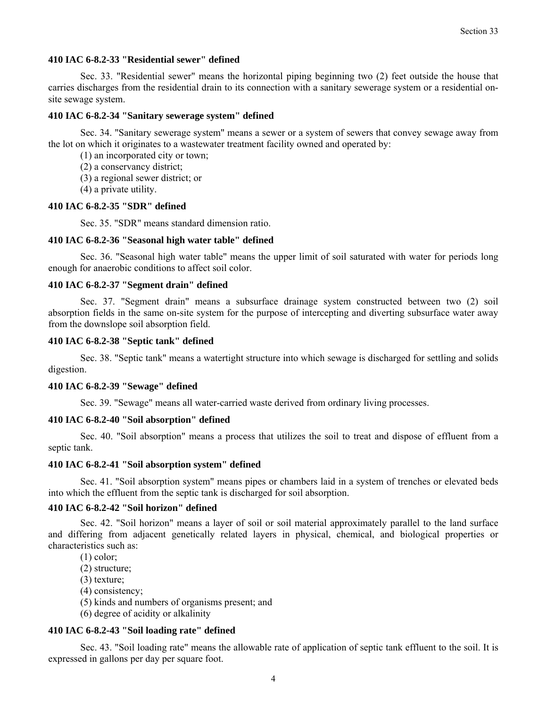#### **410 IAC 6-8.2-33 "Residential sewer" defined**

 Sec. 33. "Residential sewer" means the horizontal piping beginning two (2) feet outside the house that carries discharges from the residential drain to its connection with a sanitary sewerage system or a residential onsite sewage system.

#### **410 IAC 6-8.2-34 "Sanitary sewerage system" defined**

 Sec. 34. "Sanitary sewerage system" means a sewer or a system of sewers that convey sewage away from the lot on which it originates to a wastewater treatment facility owned and operated by:

- (1) an incorporated city or town;
- (2) a conservancy district;
- (3) a regional sewer district; or
- (4) a private utility.

#### **410 IAC 6-8.2-35 "SDR" defined**

Sec. 35. "SDR" means standard dimension ratio.

#### **410 IAC 6-8.2-36 "Seasonal high water table" defined**

 Sec. 36. "Seasonal high water table" means the upper limit of soil saturated with water for periods long enough for anaerobic conditions to affect soil color.

#### **410 IAC 6-8.2-37 "Segment drain" defined**

 Sec. 37. "Segment drain" means a subsurface drainage system constructed between two (2) soil absorption fields in the same on-site system for the purpose of intercepting and diverting subsurface water away from the downslope soil absorption field.

#### **410 IAC 6-8.2-38 "Septic tank" defined**

 Sec. 38. "Septic tank" means a watertight structure into which sewage is discharged for settling and solids digestion.

#### **410 IAC 6-8.2-39 "Sewage" defined**

Sec. 39. "Sewage" means all water-carried waste derived from ordinary living processes.

#### **410 IAC 6-8.2-40 "Soil absorption" defined**

 Sec. 40. "Soil absorption" means a process that utilizes the soil to treat and dispose of effluent from a septic tank.

#### **410 IAC 6-8.2-41 "Soil absorption system" defined**

 Sec. 41. "Soil absorption system" means pipes or chambers laid in a system of trenches or elevated beds into which the effluent from the septic tank is discharged for soil absorption.

#### **410 IAC 6-8.2-42 "Soil horizon" defined**

 Sec. 42. "Soil horizon" means a layer of soil or soil material approximately parallel to the land surface and differing from adjacent genetically related layers in physical, chemical, and biological properties or characteristics such as:

- (1) color;
- (2) structure;
- (3) texture;
- (4) consistency;
- (5) kinds and numbers of organisms present; and
- (6) degree of acidity or alkalinity

#### **410 IAC 6-8.2-43 "Soil loading rate" defined**

 Sec. 43. "Soil loading rate" means the allowable rate of application of septic tank effluent to the soil. It is expressed in gallons per day per square foot.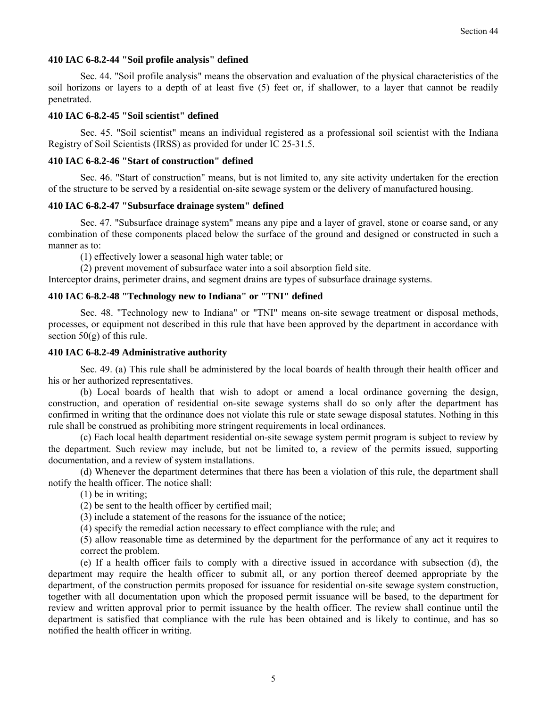#### **410 IAC 6-8.2-44 "Soil profile analysis" defined**

 Sec. 44. "Soil profile analysis" means the observation and evaluation of the physical characteristics of the soil horizons or layers to a depth of at least five (5) feet or, if shallower, to a layer that cannot be readily penetrated.

#### **410 IAC 6-8.2-45 "Soil scientist" defined**

 Sec. 45. "Soil scientist" means an individual registered as a professional soil scientist with the Indiana Registry of Soil Scientists (IRSS) as provided for under IC 25-31.5.

#### **410 IAC 6-8.2-46 "Start of construction" defined**

 Sec. 46. "Start of construction" means, but is not limited to, any site activity undertaken for the erection of the structure to be served by a residential on-site sewage system or the delivery of manufactured housing.

#### **410 IAC 6-8.2-47 "Subsurface drainage system" defined**

 Sec. 47. "Subsurface drainage system" means any pipe and a layer of gravel, stone or coarse sand, or any combination of these components placed below the surface of the ground and designed or constructed in such a manner as to:

(1) effectively lower a seasonal high water table; or

(2) prevent movement of subsurface water into a soil absorption field site.

Interceptor drains, perimeter drains, and segment drains are types of subsurface drainage systems.

#### **410 IAC 6-8.2-48 "Technology new to Indiana" or "TNI" defined**

 Sec. 48. "Technology new to Indiana" or "TNI" means on-site sewage treatment or disposal methods, processes, or equipment not described in this rule that have been approved by the department in accordance with section  $50(g)$  of this rule.

#### **410 IAC 6-8.2-49 Administrative authority**

 Sec. 49. (a) This rule shall be administered by the local boards of health through their health officer and his or her authorized representatives.

 (b) Local boards of health that wish to adopt or amend a local ordinance governing the design, construction, and operation of residential on-site sewage systems shall do so only after the department has confirmed in writing that the ordinance does not violate this rule or state sewage disposal statutes. Nothing in this rule shall be construed as prohibiting more stringent requirements in local ordinances.

 (c) Each local health department residential on-site sewage system permit program is subject to review by the department. Such review may include, but not be limited to, a review of the permits issued, supporting documentation, and a review of system installations.

 (d) Whenever the department determines that there has been a violation of this rule, the department shall notify the health officer. The notice shall:

(1) be in writing;

(2) be sent to the health officer by certified mail;

(3) include a statement of the reasons for the issuance of the notice;

(4) specify the remedial action necessary to effect compliance with the rule; and

(5) allow reasonable time as determined by the department for the performance of any act it requires to correct the problem.

 (e) If a health officer fails to comply with a directive issued in accordance with subsection (d), the department may require the health officer to submit all, or any portion thereof deemed appropriate by the department, of the construction permits proposed for issuance for residential on-site sewage system construction, together with all documentation upon which the proposed permit issuance will be based, to the department for review and written approval prior to permit issuance by the health officer. The review shall continue until the department is satisfied that compliance with the rule has been obtained and is likely to continue, and has so notified the health officer in writing.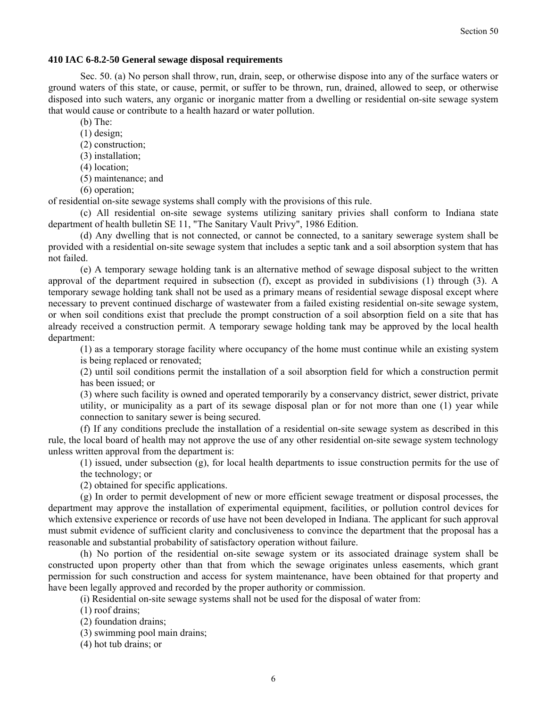#### **410 IAC 6-8.2-50 General sewage disposal requirements**

 Sec. 50. (a) No person shall throw, run, drain, seep, or otherwise dispose into any of the surface waters or ground waters of this state, or cause, permit, or suffer to be thrown, run, drained, allowed to seep, or otherwise disposed into such waters, any organic or inorganic matter from a dwelling or residential on-site sewage system that would cause or contribute to a health hazard or water pollution.

- (b) The:
- (1) design;
- (2) construction;
- (3) installation;
- (4) location;
- (5) maintenance; and
- (6) operation;

of residential on-site sewage systems shall comply with the provisions of this rule.

 (c) All residential on-site sewage systems utilizing sanitary privies shall conform to Indiana state department of health bulletin SE 11, "The Sanitary Vault Privy", 1986 Edition.

 (d) Any dwelling that is not connected, or cannot be connected, to a sanitary sewerage system shall be provided with a residential on-site sewage system that includes a septic tank and a soil absorption system that has not failed.

 (e) A temporary sewage holding tank is an alternative method of sewage disposal subject to the written approval of the department required in subsection (f), except as provided in subdivisions (1) through (3). A temporary sewage holding tank shall not be used as a primary means of residential sewage disposal except where necessary to prevent continued discharge of wastewater from a failed existing residential on-site sewage system, or when soil conditions exist that preclude the prompt construction of a soil absorption field on a site that has already received a construction permit. A temporary sewage holding tank may be approved by the local health department:

(1) as a temporary storage facility where occupancy of the home must continue while an existing system is being replaced or renovated;

(2) until soil conditions permit the installation of a soil absorption field for which a construction permit has been issued; or

(3) where such facility is owned and operated temporarily by a conservancy district, sewer district, private utility, or municipality as a part of its sewage disposal plan or for not more than one (1) year while connection to sanitary sewer is being secured.

 (f) If any conditions preclude the installation of a residential on-site sewage system as described in this rule, the local board of health may not approve the use of any other residential on-site sewage system technology unless written approval from the department is:

(1) issued, under subsection (g), for local health departments to issue construction permits for the use of the technology; or

(2) obtained for specific applications.

 (g) In order to permit development of new or more efficient sewage treatment or disposal processes, the department may approve the installation of experimental equipment, facilities, or pollution control devices for which extensive experience or records of use have not been developed in Indiana. The applicant for such approval must submit evidence of sufficient clarity and conclusiveness to convince the department that the proposal has a reasonable and substantial probability of satisfactory operation without failure.

 (h) No portion of the residential on-site sewage system or its associated drainage system shall be constructed upon property other than that from which the sewage originates unless easements, which grant permission for such construction and access for system maintenance, have been obtained for that property and have been legally approved and recorded by the proper authority or commission.

(i) Residential on-site sewage systems shall not be used for the disposal of water from:

(1) roof drains;

- (2) foundation drains;
- (3) swimming pool main drains;
- (4) hot tub drains; or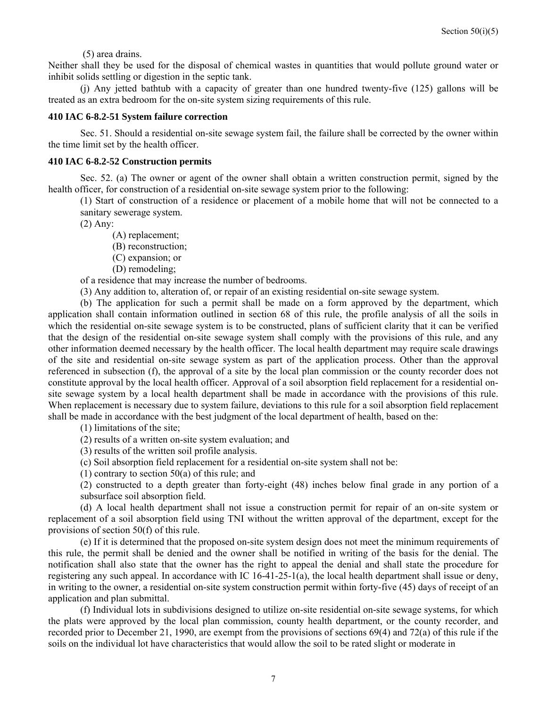(5) area drains.

Neither shall they be used for the disposal of chemical wastes in quantities that would pollute ground water or inhibit solids settling or digestion in the septic tank.

 (j) Any jetted bathtub with a capacity of greater than one hundred twenty-five (125) gallons will be treated as an extra bedroom for the on-site system sizing requirements of this rule.

#### **410 IAC 6-8.2-51 System failure correction**

 Sec. 51. Should a residential on-site sewage system fail, the failure shall be corrected by the owner within the time limit set by the health officer.

#### **410 IAC 6-8.2-52 Construction permits**

 Sec. 52. (a) The owner or agent of the owner shall obtain a written construction permit, signed by the health officer, for construction of a residential on-site sewage system prior to the following:

(1) Start of construction of a residence or placement of a mobile home that will not be connected to a sanitary sewerage system.

(2) Any:

(A) replacement;

(B) reconstruction;

(C) expansion; or

(D) remodeling;

of a residence that may increase the number of bedrooms.

(3) Any addition to, alteration of, or repair of an existing residential on-site sewage system.

 (b) The application for such a permit shall be made on a form approved by the department, which application shall contain information outlined in section 68 of this rule, the profile analysis of all the soils in which the residential on-site sewage system is to be constructed, plans of sufficient clarity that it can be verified that the design of the residential on-site sewage system shall comply with the provisions of this rule, and any other information deemed necessary by the health officer. The local health department may require scale drawings of the site and residential on-site sewage system as part of the application process. Other than the approval referenced in subsection (f), the approval of a site by the local plan commission or the county recorder does not constitute approval by the local health officer. Approval of a soil absorption field replacement for a residential onsite sewage system by a local health department shall be made in accordance with the provisions of this rule. When replacement is necessary due to system failure, deviations to this rule for a soil absorption field replacement shall be made in accordance with the best judgment of the local department of health, based on the:

(1) limitations of the site;

(2) results of a written on-site system evaluation; and

(3) results of the written soil profile analysis.

(c) Soil absorption field replacement for a residential on-site system shall not be:

(1) contrary to section 50(a) of this rule; and

(2) constructed to a depth greater than forty-eight (48) inches below final grade in any portion of a subsurface soil absorption field.

 (d) A local health department shall not issue a construction permit for repair of an on-site system or replacement of a soil absorption field using TNI without the written approval of the department, except for the provisions of section 50(f) of this rule.

 (e) If it is determined that the proposed on-site system design does not meet the minimum requirements of this rule, the permit shall be denied and the owner shall be notified in writing of the basis for the denial. The notification shall also state that the owner has the right to appeal the denial and shall state the procedure for registering any such appeal. In accordance with IC 16-41-25-1(a), the local health department shall issue or deny, in writing to the owner, a residential on-site system construction permit within forty-five (45) days of receipt of an application and plan submittal.

 (f) Individual lots in subdivisions designed to utilize on-site residential on-site sewage systems, for which the plats were approved by the local plan commission, county health department, or the county recorder, and recorded prior to December 21, 1990, are exempt from the provisions of sections 69(4) and 72(a) of this rule if the soils on the individual lot have characteristics that would allow the soil to be rated slight or moderate in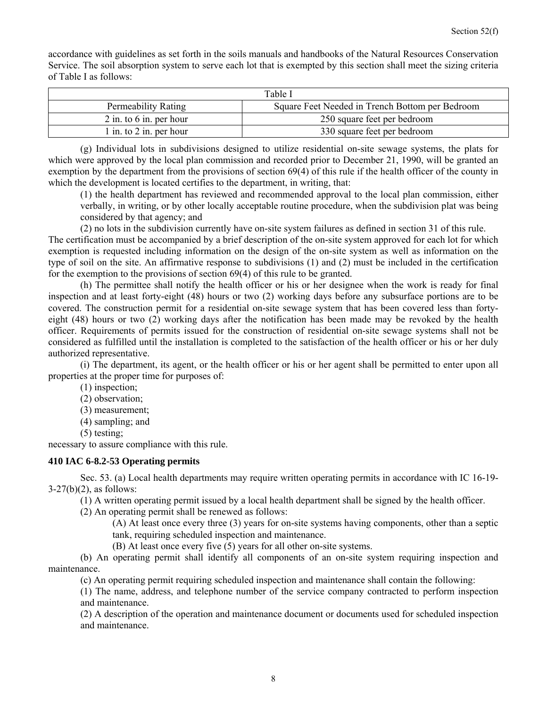accordance with guidelines as set forth in the soils manuals and handbooks of the Natural Resources Conservation Service. The soil absorption system to serve each lot that is exempted by this section shall meet the sizing criteria of Table I as follows:

| Table I                   |                                                 |  |  |  |  |  |
|---------------------------|-------------------------------------------------|--|--|--|--|--|
| Permeability Rating       | Square Feet Needed in Trench Bottom per Bedroom |  |  |  |  |  |
| $2$ in. to 6 in. per hour | 250 square feet per bedroom                     |  |  |  |  |  |
| 1 in. to 2 in. per hour   | 330 square feet per bedroom                     |  |  |  |  |  |

(g) Individual lots in subdivisions designed to utilize residential on-site sewage systems, the plats for which were approved by the local plan commission and recorded prior to December 21, 1990, will be granted an exemption by the department from the provisions of section 69(4) of this rule if the health officer of the county in which the development is located certifies to the department, in writing, that:

(1) the health department has reviewed and recommended approval to the local plan commission, either verbally, in writing, or by other locally acceptable routine procedure, when the subdivision plat was being considered by that agency; and

(2) no lots in the subdivision currently have on-site system failures as defined in section 31 of this rule.

The certification must be accompanied by a brief description of the on-site system approved for each lot for which exemption is requested including information on the design of the on-site system as well as information on the type of soil on the site. An affirmative response to subdivisions (1) and (2) must be included in the certification for the exemption to the provisions of section 69(4) of this rule to be granted.

 (h) The permittee shall notify the health officer or his or her designee when the work is ready for final inspection and at least forty-eight (48) hours or two (2) working days before any subsurface portions are to be covered. The construction permit for a residential on-site sewage system that has been covered less than fortyeight (48) hours or two (2) working days after the notification has been made may be revoked by the health officer. Requirements of permits issued for the construction of residential on-site sewage systems shall not be considered as fulfilled until the installation is completed to the satisfaction of the health officer or his or her duly authorized representative.

 (i) The department, its agent, or the health officer or his or her agent shall be permitted to enter upon all properties at the proper time for purposes of:

- (1) inspection;
- (2) observation;
- (3) measurement;
- (4) sampling; and
- (5) testing;

necessary to assure compliance with this rule.

#### **410 IAC 6-8.2-53 Operating permits**

 Sec. 53. (a) Local health departments may require written operating permits in accordance with IC 16-19-  $3-27(b)(2)$ , as follows:

(1) A written operating permit issued by a local health department shall be signed by the health officer.

(2) An operating permit shall be renewed as follows:

(A) At least once every three (3) years for on-site systems having components, other than a septic tank, requiring scheduled inspection and maintenance.

(B) At least once every five (5) years for all other on-site systems.

 (b) An operating permit shall identify all components of an on-site system requiring inspection and maintenance.

(c) An operating permit requiring scheduled inspection and maintenance shall contain the following:

(1) The name, address, and telephone number of the service company contracted to perform inspection and maintenance.

(2) A description of the operation and maintenance document or documents used for scheduled inspection and maintenance.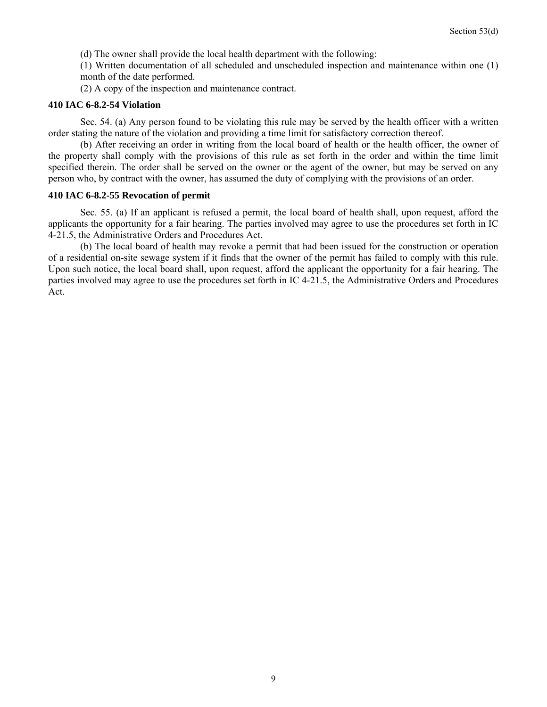(d) The owner shall provide the local health department with the following:

(1) Written documentation of all scheduled and unscheduled inspection and maintenance within one (1) month of the date performed.

(2) A copy of the inspection and maintenance contract.

#### **410 IAC 6-8.2-54 Violation**

 Sec. 54. (a) Any person found to be violating this rule may be served by the health officer with a written order stating the nature of the violation and providing a time limit for satisfactory correction thereof.

 (b) After receiving an order in writing from the local board of health or the health officer, the owner of the property shall comply with the provisions of this rule as set forth in the order and within the time limit specified therein. The order shall be served on the owner or the agent of the owner, but may be served on any person who, by contract with the owner, has assumed the duty of complying with the provisions of an order.

#### **410 IAC 6-8.2-55 Revocation of permit**

 Sec. 55. (a) If an applicant is refused a permit, the local board of health shall, upon request, afford the applicants the opportunity for a fair hearing. The parties involved may agree to use the procedures set forth in IC 4-21.5, the Administrative Orders and Procedures Act.

 (b) The local board of health may revoke a permit that had been issued for the construction or operation of a residential on-site sewage system if it finds that the owner of the permit has failed to comply with this rule. Upon such notice, the local board shall, upon request, afford the applicant the opportunity for a fair hearing. The parties involved may agree to use the procedures set forth in IC 4-21.5, the Administrative Orders and Procedures Act.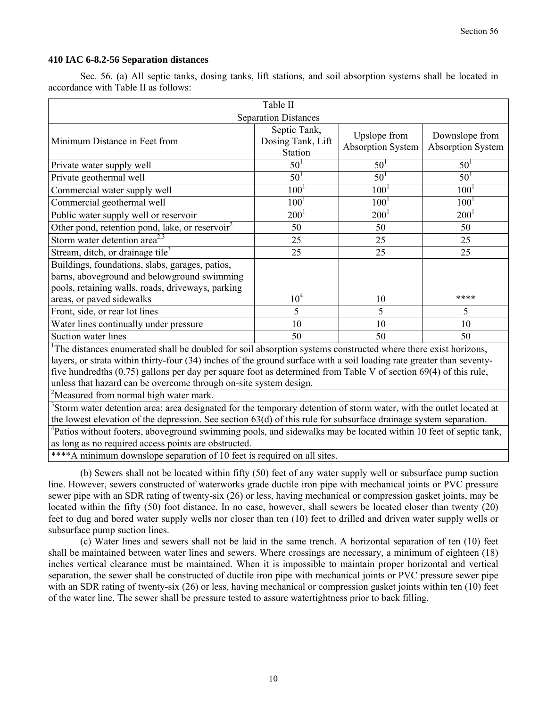#### **410 IAC 6-8.2-56 Separation distances**

 Sec. 56. (a) All septic tanks, dosing tanks, lift stations, and soil absorption systems shall be located in accordance with Table II as follows:

| Table II                                                                                                                                            |                                                     |                                   |                                     |  |  |  |  |  |
|-----------------------------------------------------------------------------------------------------------------------------------------------------|-----------------------------------------------------|-----------------------------------|-------------------------------------|--|--|--|--|--|
| <b>Separation Distances</b>                                                                                                                         |                                                     |                                   |                                     |  |  |  |  |  |
| Minimum Distance in Feet from                                                                                                                       | Septic Tank,<br>Dosing Tank, Lift<br><b>Station</b> | Upslope from<br>Absorption System | Downslope from<br>Absorption System |  |  |  |  |  |
| Private water supply well                                                                                                                           | 50 <sup>1</sup>                                     | 50 <sup>1</sup>                   | 50 <sup>1</sup>                     |  |  |  |  |  |
| Private geothermal well                                                                                                                             | 50 <sup>1</sup>                                     | 50 <sup>1</sup>                   | 50 <sup>1</sup>                     |  |  |  |  |  |
| Commercial water supply well                                                                                                                        | $100^{1}$                                           | 100 <sup>1</sup>                  | $100^{1}$                           |  |  |  |  |  |
| Commercial geothermal well                                                                                                                          | 100 <sup>1</sup>                                    | 100 <sup>1</sup>                  | $100^{1}$                           |  |  |  |  |  |
| Public water supply well or reservoir                                                                                                               | $200^{1}$                                           | $200^{1}$                         | $200^1$                             |  |  |  |  |  |
| Other pond, retention pond, lake, or reservoir <sup>2</sup>                                                                                         | 50                                                  | 50                                | 50                                  |  |  |  |  |  |
| Storm water detention area <sup>2,3</sup>                                                                                                           | 25                                                  | 25                                | 25                                  |  |  |  |  |  |
| Stream, ditch, or drainage tile <sup>3</sup>                                                                                                        | 25                                                  | 25                                | 25                                  |  |  |  |  |  |
| Buildings, foundations, slabs, garages, patios,<br>barns, aboveground and belowground swimming<br>pools, retaining walls, roads, driveways, parking |                                                     |                                   |                                     |  |  |  |  |  |
| areas, or paved sidewalks                                                                                                                           | 10 <sup>4</sup>                                     | 10                                | ****                                |  |  |  |  |  |
| Front, side, or rear lot lines                                                                                                                      | 5                                                   | 5                                 | 5                                   |  |  |  |  |  |
| Water lines continually under pressure                                                                                                              | 10                                                  | 10                                | 10                                  |  |  |  |  |  |
| Suction water lines                                                                                                                                 | 50                                                  | 50                                | 50                                  |  |  |  |  |  |
| The distances enumerated shall be doubled for soil absorption systems constructed where there exist horizons,                                       |                                                     |                                   |                                     |  |  |  |  |  |

layers, or strata within thirty-four (34) inches of the ground surface with a soil loading rate greater than seventyfive hundredths (0.75) gallons per day per square foot as determined from Table V of section 69(4) of this rule, unless that hazard can be overcome through on-site system design.

<sup>2</sup>Measured from normal high water mark.

<sup>3</sup>Storm water detention area: area designated for the temporary detention of storm water, with the outlet located at the lowest elevation of the depression. See section 63(d) of this rule for subsurface drainage system separation.

<sup>4</sup>Patios without footers, aboveground swimming pools, and sidewalks may be located within 10 feet of septic tank, as long as no required access points are obstructed.

\*\*\*\*A minimum downslope separation of 10 feet is required on all sites.

 (b) Sewers shall not be located within fifty (50) feet of any water supply well or subsurface pump suction line. However, sewers constructed of waterworks grade ductile iron pipe with mechanical joints or PVC pressure sewer pipe with an SDR rating of twenty-six (26) or less, having mechanical or compression gasket joints, may be located within the fifty (50) foot distance. In no case, however, shall sewers be located closer than twenty (20) feet to dug and bored water supply wells nor closer than ten (10) feet to drilled and driven water supply wells or subsurface pump suction lines.

 (c) Water lines and sewers shall not be laid in the same trench. A horizontal separation of ten (10) feet shall be maintained between water lines and sewers. Where crossings are necessary, a minimum of eighteen (18) inches vertical clearance must be maintained. When it is impossible to maintain proper horizontal and vertical separation, the sewer shall be constructed of ductile iron pipe with mechanical joints or PVC pressure sewer pipe with an SDR rating of twenty-six (26) or less, having mechanical or compression gasket joints within ten (10) feet of the water line. The sewer shall be pressure tested to assure watertightness prior to back filling.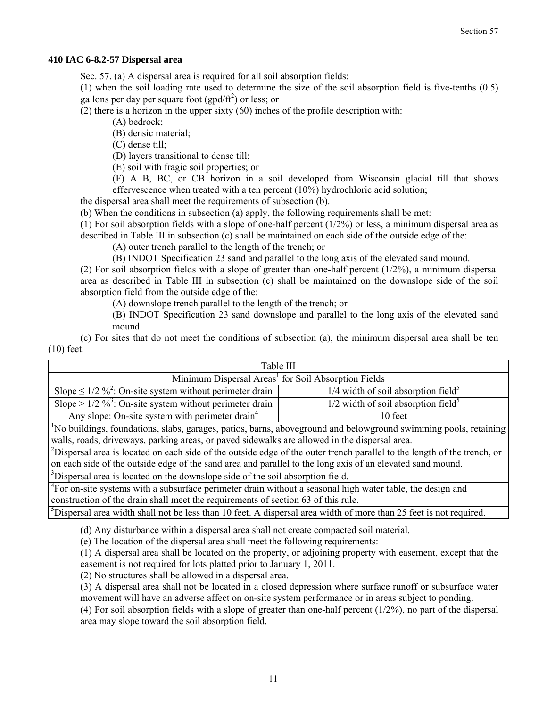#### **410 IAC 6-8.2-57 Dispersal area**

Sec. 57. (a) A dispersal area is required for all soil absorption fields:

(1) when the soil loading rate used to determine the size of the soil absorption field is five-tenths (0.5) gallons per day per square foot  $(gpd/ft^2)$  or less; or

(2) there is a horizon in the upper sixty (60) inches of the profile description with:

(A) bedrock;

(B) densic material;

(C) dense till;

(D) layers transitional to dense till;

(E) soil with fragic soil properties; or

(F) A B, BC, or CB horizon in a soil developed from Wisconsin glacial till that shows effervescence when treated with a ten percent (10%) hydrochloric acid solution;

the dispersal area shall meet the requirements of subsection (b).

(b) When the conditions in subsection (a) apply, the following requirements shall be met:

(1) For soil absorption fields with a slope of one-half percent  $(1/2%)$  or less, a minimum dispersal area as described in Table III in subsection (c) shall be maintained on each side of the outside edge of the:

(A) outer trench parallel to the length of the trench; or

(B) INDOT Specification 23 sand and parallel to the long axis of the elevated sand mound.

(2) For soil absorption fields with a slope of greater than one-half percent  $(1/2%)$ , a minimum dispersal area as described in Table III in subsection (c) shall be maintained on the downslope side of the soil absorption field from the outside edge of the:

(A) downslope trench parallel to the length of the trench; or

(B) INDOT Specification 23 sand downslope and parallel to the long axis of the elevated sand mound.

 (c) For sites that do not meet the conditions of subsection (a), the minimum dispersal area shall be ten (10) feet.

| Table III                                                                                                                            |                                                   |  |  |  |  |  |  |  |
|--------------------------------------------------------------------------------------------------------------------------------------|---------------------------------------------------|--|--|--|--|--|--|--|
| Minimum Dispersal Areas <sup>1</sup> for Soil Absorption Fields                                                                      |                                                   |  |  |  |  |  |  |  |
| Slope $\leq 1/2$ % <sup>2</sup> : On-site system without perimeter drain                                                             | $1/4$ width of soil absorption field <sup>5</sup> |  |  |  |  |  |  |  |
| Slope > $1/2 \frac{9}{3}$ : On-site system without perimeter drain                                                                   | $1/2$ width of soil absorption field <sup>5</sup> |  |  |  |  |  |  |  |
| Any slope: On-site system with perimeter drain <sup>4</sup>                                                                          | 10 feet                                           |  |  |  |  |  |  |  |
| <sup>1</sup> No buildings, foundations, slabs, garages, patios, barns, aboveground and belowground swimming pools, retaining         |                                                   |  |  |  |  |  |  |  |
| walls, roads, driveways, parking areas, or paved sidewalks are allowed in the dispersal area.                                        |                                                   |  |  |  |  |  |  |  |
| <sup>2</sup> Dispersal area is located on each side of the outside edge of the outer trench parallel to the length of the trench, or |                                                   |  |  |  |  |  |  |  |
| on each side of the outside edge of the sand area and parallel to the long axis of an elevated sand mound.                           |                                                   |  |  |  |  |  |  |  |
| <sup>3</sup> Dispersal area is located on the downslope side of the soil absorption field.                                           |                                                   |  |  |  |  |  |  |  |
| <sup>4</sup> For on-site systems with a subsurface perimeter drain without a seasonal high water table, the design and               |                                                   |  |  |  |  |  |  |  |
| construction of the drain shall meet the requirements of section 63 of this rule.                                                    |                                                   |  |  |  |  |  |  |  |
| <sup>5</sup> Dispersal area width shall not be less than 10 feet. A dispersal area width of more than 25 feet is not required.       |                                                   |  |  |  |  |  |  |  |

(d) Any disturbance within a dispersal area shall not create compacted soil material.

(e) The location of the dispersal area shall meet the following requirements:

(1) A dispersal area shall be located on the property, or adjoining property with easement, except that the easement is not required for lots platted prior to January 1, 2011.

(2) No structures shall be allowed in a dispersal area.

(3) A dispersal area shall not be located in a closed depression where surface runoff or subsurface water movement will have an adverse affect on on-site system performance or in areas subject to ponding.

(4) For soil absorption fields with a slope of greater than one-half percent (1/2%), no part of the dispersal area may slope toward the soil absorption field.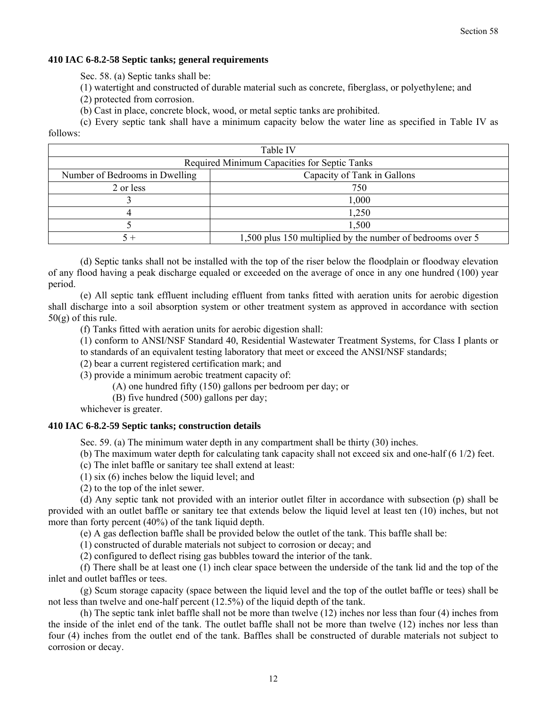#### **410 IAC 6-8.2-58 Septic tanks; general requirements**

Sec. 58. (a) Septic tanks shall be:

- (1) watertight and constructed of durable material such as concrete, fiberglass, or polyethylene; and
- (2) protected from corrosion.
- (b) Cast in place, concrete block, wood, or metal septic tanks are prohibited.

 (c) Every septic tank shall have a minimum capacity below the water line as specified in Table IV as follows:

| Table IV                                                      |                                                            |  |  |  |  |  |  |
|---------------------------------------------------------------|------------------------------------------------------------|--|--|--|--|--|--|
| Required Minimum Capacities for Septic Tanks                  |                                                            |  |  |  |  |  |  |
| Capacity of Tank in Gallons<br>Number of Bedrooms in Dwelling |                                                            |  |  |  |  |  |  |
| 2 or less                                                     | 750                                                        |  |  |  |  |  |  |
|                                                               | 1,000                                                      |  |  |  |  |  |  |
|                                                               | 1,250                                                      |  |  |  |  |  |  |
|                                                               | 1,500                                                      |  |  |  |  |  |  |
|                                                               | 1,500 plus 150 multiplied by the number of bedrooms over 5 |  |  |  |  |  |  |

 (d) Septic tanks shall not be installed with the top of the riser below the floodplain or floodway elevation of any flood having a peak discharge equaled or exceeded on the average of once in any one hundred (100) year period.

 (e) All septic tank effluent including effluent from tanks fitted with aeration units for aerobic digestion shall discharge into a soil absorption system or other treatment system as approved in accordance with section  $50(g)$  of this rule.

(f) Tanks fitted with aeration units for aerobic digestion shall:

(1) conform to ANSI/NSF Standard 40, Residential Wastewater Treatment Systems, for Class I plants or

to standards of an equivalent testing laboratory that meet or exceed the ANSI/NSF standards;

(2) bear a current registered certification mark; and

(3) provide a minimum aerobic treatment capacity of:

(A) one hundred fifty (150) gallons per bedroom per day; or

(B) five hundred (500) gallons per day;

whichever is greater.

#### **410 IAC 6-8.2-59 Septic tanks; construction details**

Sec. 59. (a) The minimum water depth in any compartment shall be thirty (30) inches.

(b) The maximum water depth for calculating tank capacity shall not exceed six and one-half (6 1/2) feet.

(c) The inlet baffle or sanitary tee shall extend at least:

(1) six (6) inches below the liquid level; and

(2) to the top of the inlet sewer.

 (d) Any septic tank not provided with an interior outlet filter in accordance with subsection (p) shall be provided with an outlet baffle or sanitary tee that extends below the liquid level at least ten (10) inches, but not more than forty percent (40%) of the tank liquid depth.

(e) A gas deflection baffle shall be provided below the outlet of the tank. This baffle shall be:

(1) constructed of durable materials not subject to corrosion or decay; and

(2) configured to deflect rising gas bubbles toward the interior of the tank.

 (f) There shall be at least one (1) inch clear space between the underside of the tank lid and the top of the inlet and outlet baffles or tees.

 (g) Scum storage capacity (space between the liquid level and the top of the outlet baffle or tees) shall be not less than twelve and one-half percent (12.5%) of the liquid depth of the tank.

 (h) The septic tank inlet baffle shall not be more than twelve (12) inches nor less than four (4) inches from the inside of the inlet end of the tank. The outlet baffle shall not be more than twelve (12) inches nor less than four (4) inches from the outlet end of the tank. Baffles shall be constructed of durable materials not subject to corrosion or decay.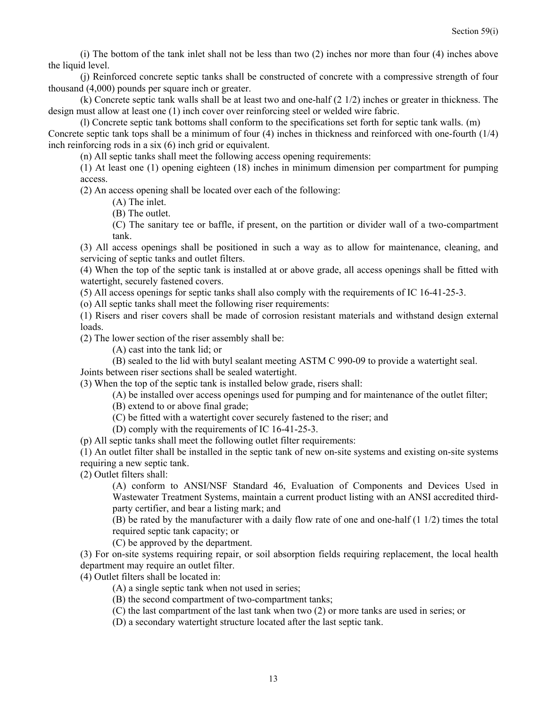(i) The bottom of the tank inlet shall not be less than two (2) inches nor more than four (4) inches above the liquid level.

 (j) Reinforced concrete septic tanks shall be constructed of concrete with a compressive strength of four thousand (4,000) pounds per square inch or greater.

 (k) Concrete septic tank walls shall be at least two and one-half (2 1/2) inches or greater in thickness. The design must allow at least one (1) inch cover over reinforcing steel or welded wire fabric.

 (l) Concrete septic tank bottoms shall conform to the specifications set forth for septic tank walls. (m) Concrete septic tank tops shall be a minimum of four (4) inches in thickness and reinforced with one-fourth (1/4) inch reinforcing rods in a six (6) inch grid or equivalent.

(n) All septic tanks shall meet the following access opening requirements:

(1) At least one (1) opening eighteen (18) inches in minimum dimension per compartment for pumping access.

(2) An access opening shall be located over each of the following:

(A) The inlet.

(B) The outlet.

(C) The sanitary tee or baffle, if present, on the partition or divider wall of a two-compartment tank.

(3) All access openings shall be positioned in such a way as to allow for maintenance, cleaning, and servicing of septic tanks and outlet filters.

(4) When the top of the septic tank is installed at or above grade, all access openings shall be fitted with watertight, securely fastened covers.

(5) All access openings for septic tanks shall also comply with the requirements of IC 16-41-25-3.

(o) All septic tanks shall meet the following riser requirements:

(1) Risers and riser covers shall be made of corrosion resistant materials and withstand design external loads.

(2) The lower section of the riser assembly shall be:

(A) cast into the tank lid; or

(B) sealed to the lid with butyl sealant meeting ASTM C 990-09 to provide a watertight seal. Joints between riser sections shall be sealed watertight.

(3) When the top of the septic tank is installed below grade, risers shall:

- (A) be installed over access openings used for pumping and for maintenance of the outlet filter;
- (B) extend to or above final grade;
- (C) be fitted with a watertight cover securely fastened to the riser; and
- (D) comply with the requirements of IC 16-41-25-3.

(p) All septic tanks shall meet the following outlet filter requirements:

(1) An outlet filter shall be installed in the septic tank of new on-site systems and existing on-site systems requiring a new septic tank.

(2) Outlet filters shall:

(A) conform to ANSI/NSF Standard 46, Evaluation of Components and Devices Used in Wastewater Treatment Systems, maintain a current product listing with an ANSI accredited thirdparty certifier, and bear a listing mark; and

 $(B)$  be rated by the manufacturer with a daily flow rate of one and one-half (1 1/2) times the total required septic tank capacity; or

(C) be approved by the department.

(3) For on-site systems requiring repair, or soil absorption fields requiring replacement, the local health department may require an outlet filter.

(4) Outlet filters shall be located in:

(A) a single septic tank when not used in series;

(B) the second compartment of two-compartment tanks;

(C) the last compartment of the last tank when two (2) or more tanks are used in series; or

(D) a secondary watertight structure located after the last septic tank.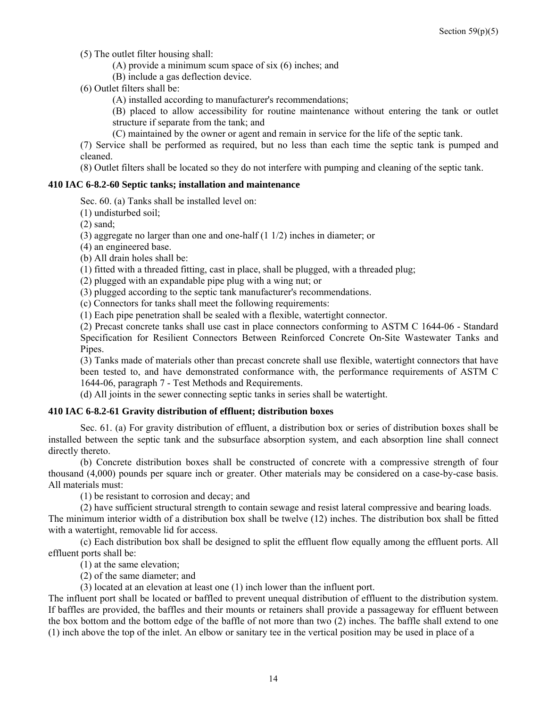(5) The outlet filter housing shall:

(A) provide a minimum scum space of six (6) inches; and

(B) include a gas deflection device.

(6) Outlet filters shall be:

- (A) installed according to manufacturer's recommendations;
- (B) placed to allow accessibility for routine maintenance without entering the tank or outlet structure if separate from the tank; and
- (C) maintained by the owner or agent and remain in service for the life of the septic tank.

(7) Service shall be performed as required, but no less than each time the septic tank is pumped and cleaned.

(8) Outlet filters shall be located so they do not interfere with pumping and cleaning of the septic tank.

#### **410 IAC 6-8.2-60 Septic tanks; installation and maintenance**

Sec. 60. (a) Tanks shall be installed level on:

(1) undisturbed soil;

(2) sand;

(3) aggregate no larger than one and one-half (1 1/2) inches in diameter; or

(4) an engineered base.

(b) All drain holes shall be:

(1) fitted with a threaded fitting, cast in place, shall be plugged, with a threaded plug;

(2) plugged with an expandable pipe plug with a wing nut; or

(3) plugged according to the septic tank manufacturer's recommendations.

(c) Connectors for tanks shall meet the following requirements:

(1) Each pipe penetration shall be sealed with a flexible, watertight connector.

(2) Precast concrete tanks shall use cast in place connectors conforming to ASTM C 1644-06 - Standard Specification for Resilient Connectors Between Reinforced Concrete On-Site Wastewater Tanks and Pipes.

(3) Tanks made of materials other than precast concrete shall use flexible, watertight connectors that have been tested to, and have demonstrated conformance with, the performance requirements of ASTM C 1644-06, paragraph 7 - Test Methods and Requirements.

(d) All joints in the sewer connecting septic tanks in series shall be watertight.

#### **410 IAC 6-8.2-61 Gravity distribution of effluent; distribution boxes**

 Sec. 61. (a) For gravity distribution of effluent, a distribution box or series of distribution boxes shall be installed between the septic tank and the subsurface absorption system, and each absorption line shall connect directly thereto.

 (b) Concrete distribution boxes shall be constructed of concrete with a compressive strength of four thousand (4,000) pounds per square inch or greater. Other materials may be considered on a case-by-case basis. All materials must:

(1) be resistant to corrosion and decay; and

(2) have sufficient structural strength to contain sewage and resist lateral compressive and bearing loads.

The minimum interior width of a distribution box shall be twelve (12) inches. The distribution box shall be fitted with a watertight, removable lid for access.

 (c) Each distribution box shall be designed to split the effluent flow equally among the effluent ports. All effluent ports shall be:

(1) at the same elevation;

(2) of the same diameter; and

(3) located at an elevation at least one (1) inch lower than the influent port.

The influent port shall be located or baffled to prevent unequal distribution of effluent to the distribution system. If baffles are provided, the baffles and their mounts or retainers shall provide a passageway for effluent between the box bottom and the bottom edge of the baffle of not more than two (2) inches. The baffle shall extend to one (1) inch above the top of the inlet. An elbow or sanitary tee in the vertical position may be used in place of a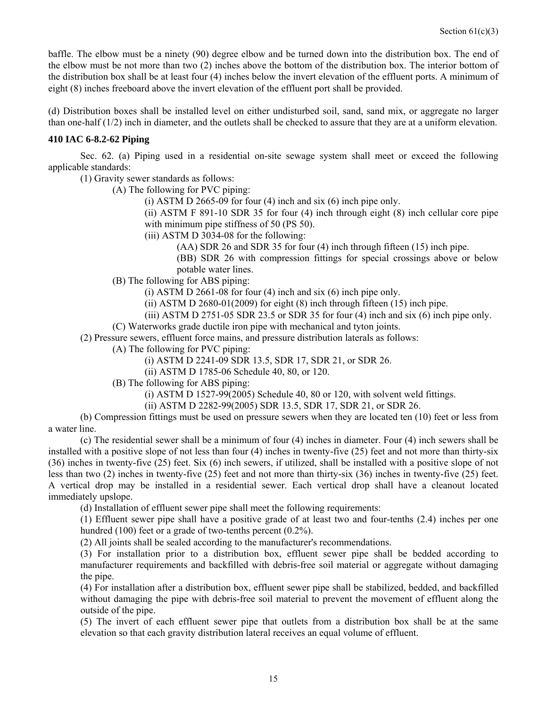baffle. The elbow must be a ninety (90) degree elbow and be turned down into the distribution box. The end of the elbow must be not more than two (2) inches above the bottom of the distribution box. The interior bottom of the distribution box shall be at least four (4) inches below the invert elevation of the effluent ports. A minimum of eight (8) inches freeboard above the invert elevation of the effluent port shall be provided.

(d) Distribution boxes shall be installed level on either undisturbed soil, sand, sand mix, or aggregate no larger than one-half (1/2) inch in diameter, and the outlets shall be checked to assure that they are at a uniform elevation.

#### **410 IAC 6-8.2-62 Piping**

 Sec. 62. (a) Piping used in a residential on-site sewage system shall meet or exceed the following applicable standards:

(1) Gravity sewer standards as follows:

(A) The following for PVC piping:

(i) ASTM D 2665-09 for four  $(4)$  inch and six  $(6)$  inch pipe only.

(ii) ASTM F 891-10 SDR 35 for four (4) inch through eight (8) inch cellular core pipe with minimum pipe stiffness of 50 (PS 50).

(iii) ASTM D 3034-08 for the following:

(AA) SDR 26 and SDR 35 for four (4) inch through fifteen (15) inch pipe.

(BB) SDR 26 with compression fittings for special crossings above or below potable water lines.

(B) The following for ABS piping:

(i) ASTM D 2661-08 for four  $(4)$  inch and six  $(6)$  inch pipe only.

(ii) ASTM D 2680-01(2009) for eight  $(8)$  inch through fifteen  $(15)$  inch pipe.

(iii) ASTM D 2751-05 SDR 23.5 or SDR 35 for four  $(4)$  inch and six  $(6)$  inch pipe only.

(C) Waterworks grade ductile iron pipe with mechanical and tyton joints.

(2) Pressure sewers, effluent force mains, and pressure distribution laterals as follows:

(A) The following for PVC piping:

(i) ASTM D 2241-09 SDR 13.5, SDR 17, SDR 21, or SDR 26.

(ii) ASTM D 1785-06 Schedule 40, 80, or 120.

(B) The following for ABS piping:

(i) ASTM D 1527-99(2005) Schedule 40, 80 or 120, with solvent weld fittings.

(ii) ASTM D 2282-99(2005) SDR 13.5, SDR 17, SDR 21, or SDR 26.

 (b) Compression fittings must be used on pressure sewers when they are located ten (10) feet or less from a water line.

 (c) The residential sewer shall be a minimum of four (4) inches in diameter. Four (4) inch sewers shall be installed with a positive slope of not less than four (4) inches in twenty-five (25) feet and not more than thirty-six (36) inches in twenty-five (25) feet. Six (6) inch sewers, if utilized, shall be installed with a positive slope of not less than two (2) inches in twenty-five (25) feet and not more than thirty-six (36) inches in twenty-five (25) feet. A vertical drop may be installed in a residential sewer. Each vertical drop shall have a cleanout located immediately upslope.

(d) Installation of effluent sewer pipe shall meet the following requirements:

(1) Effluent sewer pipe shall have a positive grade of at least two and four-tenths (2.4) inches per one hundred (100) feet or a grade of two-tenths percent (0.2%).

(2) All joints shall be sealed according to the manufacturer's recommendations.

(3) For installation prior to a distribution box, effluent sewer pipe shall be bedded according to manufacturer requirements and backfilled with debris-free soil material or aggregate without damaging the pipe.

(4) For installation after a distribution box, effluent sewer pipe shall be stabilized, bedded, and backfilled without damaging the pipe with debris-free soil material to prevent the movement of effluent along the outside of the pipe.

(5) The invert of each effluent sewer pipe that outlets from a distribution box shall be at the same elevation so that each gravity distribution lateral receives an equal volume of effluent.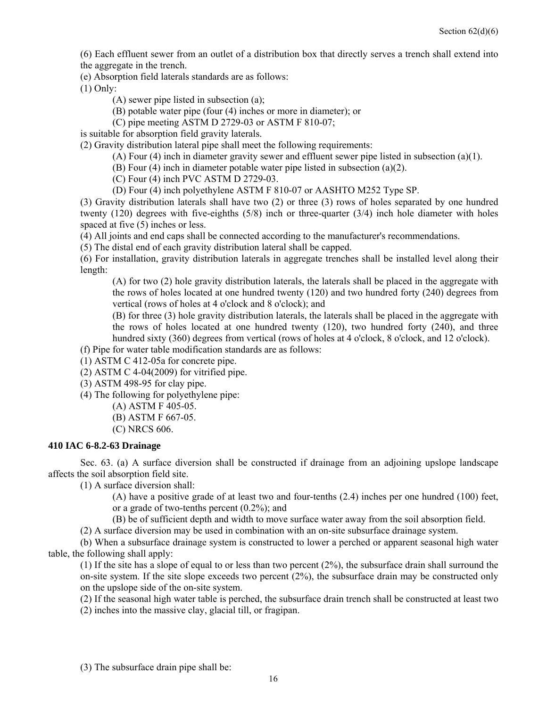(6) Each effluent sewer from an outlet of a distribution box that directly serves a trench shall extend into the aggregate in the trench.

(e) Absorption field laterals standards are as follows:

(1) Only:

- (A) sewer pipe listed in subsection (a);
- (B) potable water pipe (four (4) inches or more in diameter); or
- (C) pipe meeting ASTM D 2729-03 or ASTM F 810-07;

is suitable for absorption field gravity laterals.

(2) Gravity distribution lateral pipe shall meet the following requirements:

- (A) Four (4) inch in diameter gravity sewer and effluent sewer pipe listed in subsection (a)(1).
- (B) Four (4) inch in diameter potable water pipe listed in subsection (a)(2).
- (C) Four (4) inch PVC ASTM D 2729-03.
- (D) Four (4) inch polyethylene ASTM F 810-07 or AASHTO M252 Type SP.

(3) Gravity distribution laterals shall have two (2) or three (3) rows of holes separated by one hundred twenty (120) degrees with five-eighths (5/8) inch or three-quarter (3/4) inch hole diameter with holes spaced at five (5) inches or less.

(4) All joints and end caps shall be connected according to the manufacturer's recommendations.

(5) The distal end of each gravity distribution lateral shall be capped.

(6) For installation, gravity distribution laterals in aggregate trenches shall be installed level along their length:

(A) for two (2) hole gravity distribution laterals, the laterals shall be placed in the aggregate with the rows of holes located at one hundred twenty (120) and two hundred forty (240) degrees from vertical (rows of holes at 4 o'clock and 8 o'clock); and

(B) for three (3) hole gravity distribution laterals, the laterals shall be placed in the aggregate with the rows of holes located at one hundred twenty (120), two hundred forty (240), and three hundred sixty (360) degrees from vertical (rows of holes at 4 o'clock, 8 o'clock, and 12 o'clock).

(f) Pipe for water table modification standards are as follows:

(1) ASTM C 412-05a for concrete pipe.

 $(2)$  ASTM C 4-04 $(2009)$  for vitrified pipe.

(3) ASTM 498-95 for clay pipe.

(4) The following for polyethylene pipe:

- (A) ASTM F 405-05.
	- (B) ASTM F 667-05.
- (C) NRCS 606.

#### **410 IAC 6-8.2-63 Drainage**

 Sec. 63. (a) A surface diversion shall be constructed if drainage from an adjoining upslope landscape affects the soil absorption field site.

(1) A surface diversion shall:

(A) have a positive grade of at least two and four-tenths (2.4) inches per one hundred (100) feet, or a grade of two-tenths percent (0.2%); and

(B) be of sufficient depth and width to move surface water away from the soil absorption field.

(2) A surface diversion may be used in combination with an on-site subsurface drainage system.

 (b) When a subsurface drainage system is constructed to lower a perched or apparent seasonal high water table, the following shall apply:

(1) If the site has a slope of equal to or less than two percent (2%), the subsurface drain shall surround the on-site system. If the site slope exceeds two percent  $(2%)$ , the subsurface drain may be constructed only on the upslope side of the on-site system.

(2) If the seasonal high water table is perched, the subsurface drain trench shall be constructed at least two

(2) inches into the massive clay, glacial till, or fragipan.

(3) The subsurface drain pipe shall be: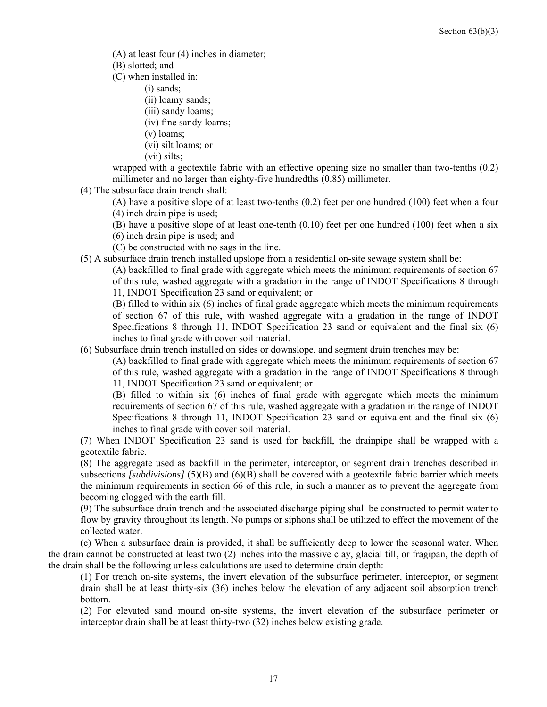(A) at least four (4) inches in diameter;

(B) slotted; and

(C) when installed in:

(i) sands;

(ii) loamy sands;

(iii) sandy loams;

(iv) fine sandy loams;

(v) loams;

(vi) silt loams; or

(vii) silts;

wrapped with a geotextile fabric with an effective opening size no smaller than two-tenths (0.2) millimeter and no larger than eighty-five hundredths (0.85) millimeter.

(4) The subsurface drain trench shall:

(A) have a positive slope of at least two-tenths (0.2) feet per one hundred (100) feet when a four (4) inch drain pipe is used;

(B) have a positive slope of at least one-tenth (0.10) feet per one hundred (100) feet when a six

(6) inch drain pipe is used; and

(C) be constructed with no sags in the line.

(5) A subsurface drain trench installed upslope from a residential on-site sewage system shall be:

(A) backfilled to final grade with aggregate which meets the minimum requirements of section 67 of this rule, washed aggregate with a gradation in the range of INDOT Specifications 8 through 11, INDOT Specification 23 sand or equivalent; or

(B) filled to within six (6) inches of final grade aggregate which meets the minimum requirements of section 67 of this rule, with washed aggregate with a gradation in the range of INDOT Specifications 8 through 11, INDOT Specification 23 sand or equivalent and the final six (6) inches to final grade with cover soil material.

(6) Subsurface drain trench installed on sides or downslope, and segment drain trenches may be:

(A) backfilled to final grade with aggregate which meets the minimum requirements of section 67 of this rule, washed aggregate with a gradation in the range of INDOT Specifications 8 through 11, INDOT Specification 23 sand or equivalent; or

(B) filled to within six (6) inches of final grade with aggregate which meets the minimum requirements of section 67 of this rule, washed aggregate with a gradation in the range of INDOT Specifications 8 through 11, INDOT Specification 23 sand or equivalent and the final six (6) inches to final grade with cover soil material.

(7) When INDOT Specification 23 sand is used for backfill, the drainpipe shall be wrapped with a geotextile fabric.

(8) The aggregate used as backfill in the perimeter, interceptor, or segment drain trenches described in subsections *[subdivisions]* (5)(B) and (6)(B) shall be covered with a geotextile fabric barrier which meets the minimum requirements in section 66 of this rule, in such a manner as to prevent the aggregate from becoming clogged with the earth fill.

(9) The subsurface drain trench and the associated discharge piping shall be constructed to permit water to flow by gravity throughout its length. No pumps or siphons shall be utilized to effect the movement of the collected water.

 (c) When a subsurface drain is provided, it shall be sufficiently deep to lower the seasonal water. When the drain cannot be constructed at least two (2) inches into the massive clay, glacial till, or fragipan, the depth of the drain shall be the following unless calculations are used to determine drain depth:

(1) For trench on-site systems, the invert elevation of the subsurface perimeter, interceptor, or segment drain shall be at least thirty-six (36) inches below the elevation of any adjacent soil absorption trench bottom.

(2) For elevated sand mound on-site systems, the invert elevation of the subsurface perimeter or interceptor drain shall be at least thirty-two (32) inches below existing grade.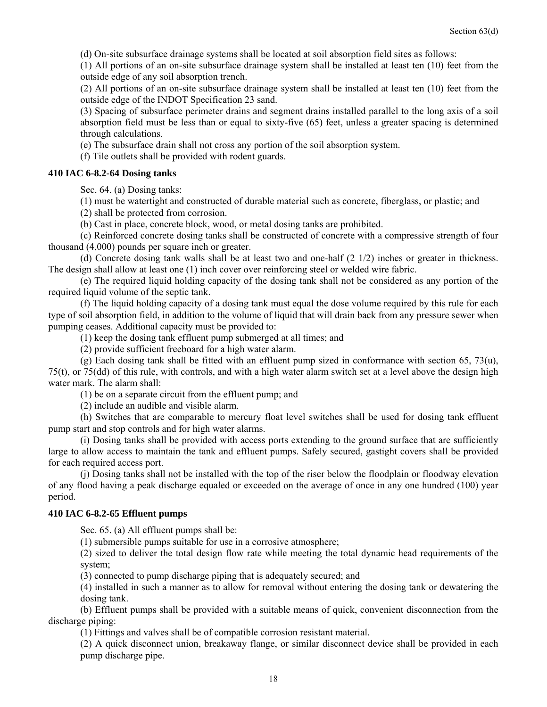(d) On-site subsurface drainage systems shall be located at soil absorption field sites as follows:

(1) All portions of an on-site subsurface drainage system shall be installed at least ten (10) feet from the outside edge of any soil absorption trench.

(2) All portions of an on-site subsurface drainage system shall be installed at least ten (10) feet from the outside edge of the INDOT Specification 23 sand.

(3) Spacing of subsurface perimeter drains and segment drains installed parallel to the long axis of a soil absorption field must be less than or equal to sixty-five (65) feet, unless a greater spacing is determined through calculations.

(e) The subsurface drain shall not cross any portion of the soil absorption system.

(f) Tile outlets shall be provided with rodent guards.

#### **410 IAC 6-8.2-64 Dosing tanks**

Sec. 64. (a) Dosing tanks:

(1) must be watertight and constructed of durable material such as concrete, fiberglass, or plastic; and

(2) shall be protected from corrosion.

(b) Cast in place, concrete block, wood, or metal dosing tanks are prohibited.

 (c) Reinforced concrete dosing tanks shall be constructed of concrete with a compressive strength of four thousand (4,000) pounds per square inch or greater.

(d) Concrete dosing tank walls shall be at least two and one-half  $(2 \frac{1}{2})$  inches or greater in thickness. The design shall allow at least one (1) inch cover over reinforcing steel or welded wire fabric.

 (e) The required liquid holding capacity of the dosing tank shall not be considered as any portion of the required liquid volume of the septic tank.

 (f) The liquid holding capacity of a dosing tank must equal the dose volume required by this rule for each type of soil absorption field, in addition to the volume of liquid that will drain back from any pressure sewer when pumping ceases. Additional capacity must be provided to:

(1) keep the dosing tank effluent pump submerged at all times; and

(2) provide sufficient freeboard for a high water alarm.

(g) Each dosing tank shall be fitted with an effluent pump sized in conformance with section 65, 73(u), 75(t), or 75(dd) of this rule, with controls, and with a high water alarm switch set at a level above the design high water mark. The alarm shall:

(1) be on a separate circuit from the effluent pump; and

(2) include an audible and visible alarm.

 (h) Switches that are comparable to mercury float level switches shall be used for dosing tank effluent pump start and stop controls and for high water alarms.

 (i) Dosing tanks shall be provided with access ports extending to the ground surface that are sufficiently large to allow access to maintain the tank and effluent pumps. Safely secured, gastight covers shall be provided for each required access port.

 (j) Dosing tanks shall not be installed with the top of the riser below the floodplain or floodway elevation of any flood having a peak discharge equaled or exceeded on the average of once in any one hundred (100) year period.

#### **410 IAC 6-8.2-65 Effluent pumps**

Sec. 65. (a) All effluent pumps shall be:

(1) submersible pumps suitable for use in a corrosive atmosphere;

(2) sized to deliver the total design flow rate while meeting the total dynamic head requirements of the system;

(3) connected to pump discharge piping that is adequately secured; and

(4) installed in such a manner as to allow for removal without entering the dosing tank or dewatering the dosing tank.

 (b) Effluent pumps shall be provided with a suitable means of quick, convenient disconnection from the discharge piping:

(1) Fittings and valves shall be of compatible corrosion resistant material.

(2) A quick disconnect union, breakaway flange, or similar disconnect device shall be provided in each pump discharge pipe.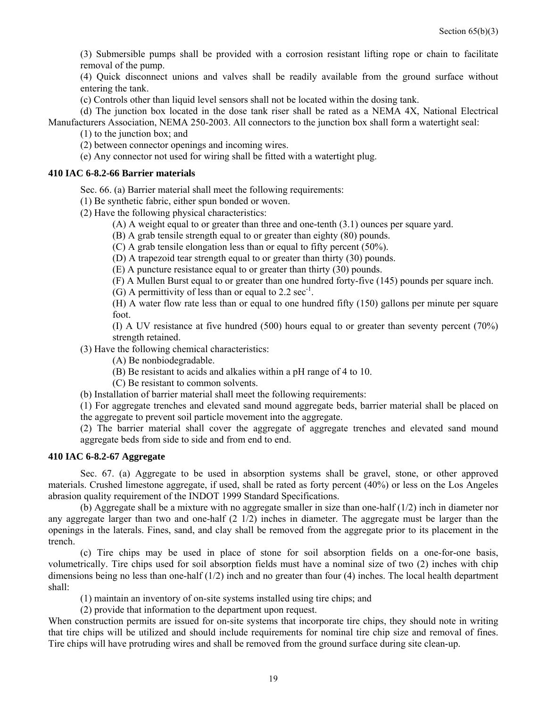(3) Submersible pumps shall be provided with a corrosion resistant lifting rope or chain to facilitate removal of the pump.

(4) Quick disconnect unions and valves shall be readily available from the ground surface without entering the tank.

(c) Controls other than liquid level sensors shall not be located within the dosing tank.

 (d) The junction box located in the dose tank riser shall be rated as a NEMA 4X, National Electrical Manufacturers Association, NEMA 250-2003. All connectors to the junction box shall form a watertight seal:

(1) to the junction box; and

(2) between connector openings and incoming wires.

(e) Any connector not used for wiring shall be fitted with a watertight plug.

#### **410 IAC 6-8.2-66 Barrier materials**

Sec. 66. (a) Barrier material shall meet the following requirements:

(1) Be synthetic fabric, either spun bonded or woven.

(2) Have the following physical characteristics:

(A) A weight equal to or greater than three and one-tenth (3.1) ounces per square yard.

(B) A grab tensile strength equal to or greater than eighty (80) pounds.

(C) A grab tensile elongation less than or equal to fifty percent (50%).

(D) A trapezoid tear strength equal to or greater than thirty (30) pounds.

(E) A puncture resistance equal to or greater than thirty (30) pounds.

(F) A Mullen Burst equal to or greater than one hundred forty-five (145) pounds per square inch.

(G) A permittivity of less than or equal to  $2.2 \text{ sec}^{-1}$ .

(H) A water flow rate less than or equal to one hundred fifty (150) gallons per minute per square foot.

(I) A UV resistance at five hundred (500) hours equal to or greater than seventy percent (70%) strength retained.

(3) Have the following chemical characteristics:

(A) Be nonbiodegradable.

(B) Be resistant to acids and alkalies within a pH range of 4 to 10.

(C) Be resistant to common solvents.

(b) Installation of barrier material shall meet the following requirements:

(1) For aggregate trenches and elevated sand mound aggregate beds, barrier material shall be placed on the aggregate to prevent soil particle movement into the aggregate.

(2) The barrier material shall cover the aggregate of aggregate trenches and elevated sand mound aggregate beds from side to side and from end to end.

#### **410 IAC 6-8.2-67 Aggregate**

 Sec. 67. (a) Aggregate to be used in absorption systems shall be gravel, stone, or other approved materials. Crushed limestone aggregate, if used, shall be rated as forty percent (40%) or less on the Los Angeles abrasion quality requirement of the INDOT 1999 Standard Specifications.

(b) Aggregate shall be a mixture with no aggregate smaller in size than one-half  $(1/2)$  inch in diameter nor any aggregate larger than two and one-half (2 1/2) inches in diameter. The aggregate must be larger than the openings in the laterals. Fines, sand, and clay shall be removed from the aggregate prior to its placement in the trench.

 (c) Tire chips may be used in place of stone for soil absorption fields on a one-for-one basis, volumetrically. Tire chips used for soil absorption fields must have a nominal size of two (2) inches with chip dimensions being no less than one-half (1/2) inch and no greater than four (4) inches. The local health department shall:

(1) maintain an inventory of on-site systems installed using tire chips; and

(2) provide that information to the department upon request.

When construction permits are issued for on-site systems that incorporate tire chips, they should note in writing that tire chips will be utilized and should include requirements for nominal tire chip size and removal of fines. Tire chips will have protruding wires and shall be removed from the ground surface during site clean-up.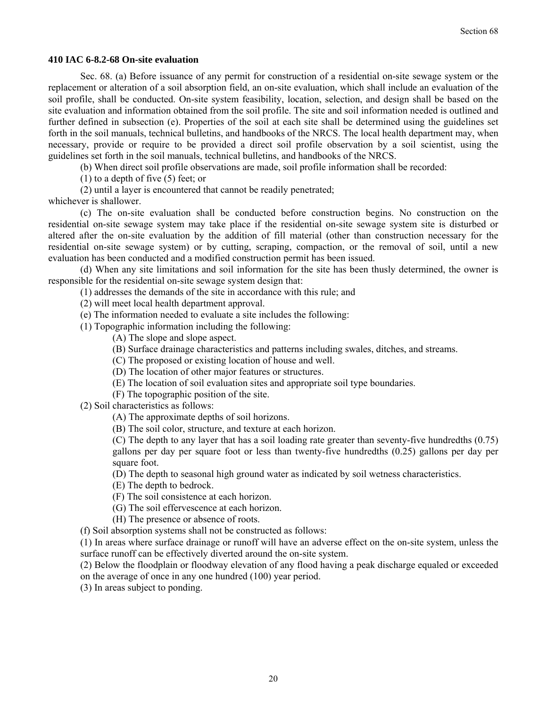#### **410 IAC 6-8.2-68 On-site evaluation**

 Sec. 68. (a) Before issuance of any permit for construction of a residential on-site sewage system or the replacement or alteration of a soil absorption field, an on-site evaluation, which shall include an evaluation of the soil profile, shall be conducted. On-site system feasibility, location, selection, and design shall be based on the site evaluation and information obtained from the soil profile. The site and soil information needed is outlined and further defined in subsection (e). Properties of the soil at each site shall be determined using the guidelines set forth in the soil manuals, technical bulletins, and handbooks of the NRCS. The local health department may, when necessary, provide or require to be provided a direct soil profile observation by a soil scientist, using the guidelines set forth in the soil manuals, technical bulletins, and handbooks of the NRCS.

(b) When direct soil profile observations are made, soil profile information shall be recorded:

(1) to a depth of five (5) feet; or

(2) until a layer is encountered that cannot be readily penetrated;

whichever is shallower.

 (c) The on-site evaluation shall be conducted before construction begins. No construction on the residential on-site sewage system may take place if the residential on-site sewage system site is disturbed or altered after the on-site evaluation by the addition of fill material (other than construction necessary for the residential on-site sewage system) or by cutting, scraping, compaction, or the removal of soil, until a new evaluation has been conducted and a modified construction permit has been issued.

 (d) When any site limitations and soil information for the site has been thusly determined, the owner is responsible for the residential on-site sewage system design that:

(1) addresses the demands of the site in accordance with this rule; and

- (2) will meet local health department approval.
- (e) The information needed to evaluate a site includes the following:
- (1) Topographic information including the following:
	- (A) The slope and slope aspect.
	- (B) Surface drainage characteristics and patterns including swales, ditches, and streams.
	- (C) The proposed or existing location of house and well.
	- (D) The location of other major features or structures.
	- (E) The location of soil evaluation sites and appropriate soil type boundaries.
	- (F) The topographic position of the site.
- (2) Soil characteristics as follows:
	- (A) The approximate depths of soil horizons.
	- (B) The soil color, structure, and texture at each horizon.

(C) The depth to any layer that has a soil loading rate greater than seventy-five hundredths (0.75) gallons per day per square foot or less than twenty-five hundredths (0.25) gallons per day per square foot.

(D) The depth to seasonal high ground water as indicated by soil wetness characteristics.

(E) The depth to bedrock.

- (F) The soil consistence at each horizon.
- (G) The soil effervescence at each horizon.
- (H) The presence or absence of roots.

(f) Soil absorption systems shall not be constructed as follows:

(1) In areas where surface drainage or runoff will have an adverse effect on the on-site system, unless the surface runoff can be effectively diverted around the on-site system.

(2) Below the floodplain or floodway elevation of any flood having a peak discharge equaled or exceeded on the average of once in any one hundred (100) year period.

(3) In areas subject to ponding.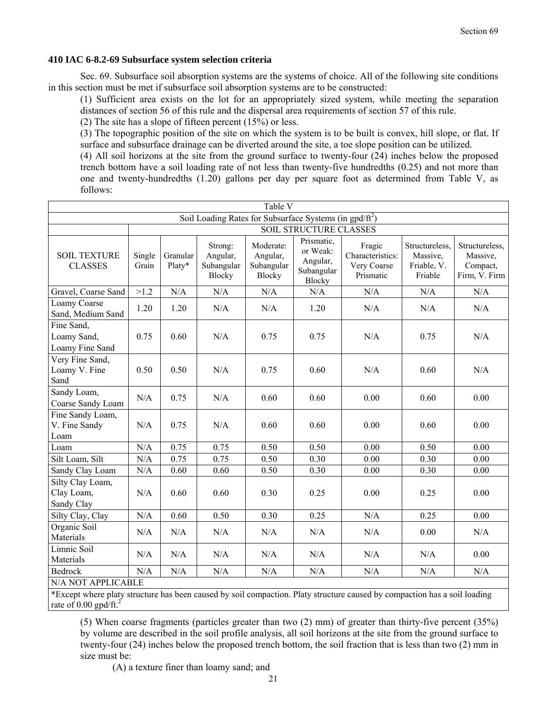#### **410 IAC 6-8.2-69 Subsurface system selection criteria**

 Sec. 69. Subsurface soil absorption systems are the systems of choice. All of the following site conditions in this section must be met if subsurface soil absorption systems are to be constructed:

(1) Sufficient area exists on the lot for an appropriately sized system, while meeting the separation distances of section 56 of this rule and the dispersal area requirements of section 57 of this rule.

(2) The site has a slope of fifteen percent (15%) or less.

(3) The topographic position of the site on which the system is to be built is convex, hill slope, or flat. If surface and subsurface drainage can be diverted around the site, a toe slope position can be utilized.

(4) All soil horizons at the site from the ground surface to twenty-four (24) inches below the proposed trench bottom have a soil loading rate of not less than twenty-five hundredths (0.25) and not more than one and twenty-hundredths (1.20) gallons per day per square foot as determined from Table V, as follows:

| Table V                                                    |                               |                    |                                             |                                               |                                                                   |                                                        |                                                      |                                                         |  |  |
|------------------------------------------------------------|-------------------------------|--------------------|---------------------------------------------|-----------------------------------------------|-------------------------------------------------------------------|--------------------------------------------------------|------------------------------------------------------|---------------------------------------------------------|--|--|
| Soil Loading Rates for Subsurface Systems (in $gpd/ft^2$ ) |                               |                    |                                             |                                               |                                                                   |                                                        |                                                      |                                                         |  |  |
|                                                            | <b>SOIL STRUCTURE CLASSES</b> |                    |                                             |                                               |                                                                   |                                                        |                                                      |                                                         |  |  |
| <b>SOIL TEXTURE</b><br><b>CLASSES</b>                      | Single<br>Grain               | Granular<br>Platy* | Strong:<br>Angular,<br>Subangular<br>Blocky | Moderate:<br>Angular,<br>Subangular<br>Blocky | Prismatic,<br>or Weak:<br>Angular,<br>Subangular<br><b>Blocky</b> | Fragic<br>Characteristics:<br>Very Coarse<br>Prismatic | Structureless.<br>Massive,<br>Friable, V.<br>Friable | Structureless,<br>Massive,<br>Compact,<br>Firm, V. Firm |  |  |
| Gravel, Coarse Sand                                        | >1.2                          | N/A                | N/A                                         | N/A                                           | N/A                                                               | N/A                                                    | N/A                                                  | N/A                                                     |  |  |
| Loamy Coarse<br>Sand, Medium Sand                          | 1.20                          | 1.20               | N/A                                         | N/A                                           | 1.20                                                              | N/A                                                    | N/A                                                  | N/A                                                     |  |  |
| Fine Sand,<br>Loamy Sand,<br>Loamy Fine Sand               | 0.75                          | 0.60               | N/A                                         | 0.75                                          | 0.75                                                              | N/A                                                    | 0.75                                                 | N/A                                                     |  |  |
| Very Fine Sand,<br>Loamy V. Fine<br>Sand                   | 0.50                          | 0.50               | N/A                                         | 0.75                                          | 0.60                                                              | N/A                                                    | 0.60                                                 | N/A                                                     |  |  |
| Sandy Loam,<br>Coarse Sandy Loam                           | N/A                           | 0.75               | N/A                                         | 0.60                                          | 0.60                                                              | 0.00                                                   | 0.60                                                 | 0.00                                                    |  |  |
| Fine Sandy Loam,<br>V. Fine Sandy<br>Loam                  | N/A                           | 0.75               | N/A                                         | 0.60                                          | 0.60                                                              | 0.00                                                   | 0.60                                                 | 0.00                                                    |  |  |
| Loam                                                       | N/A                           | 0.75               | 0.75                                        | 0.50                                          | 0.50                                                              | 0.00                                                   | 0.50                                                 | 0.00                                                    |  |  |
| Silt Loam, Silt                                            | N/A                           | 0.75               | 0.75                                        | 0.50                                          | 0.30                                                              | 0.00                                                   | 0.30                                                 | 0.00                                                    |  |  |
| Sandy Clay Loam                                            | N/A                           | 0.60               | 0.60                                        | 0.50                                          | 0.30                                                              | 0.00                                                   | 0.30                                                 | 0.00                                                    |  |  |
| Silty Clay Loam,<br>Clay Loam,<br>Sandy Clay               | N/A                           | 0.60               | 0.60                                        | 0.30                                          | 0.25                                                              | 0.00                                                   | 0.25                                                 | 0.00                                                    |  |  |
| Silty Clay, Clay                                           | N/A                           | 0.60               | 0.50                                        | 0.30                                          | 0.25                                                              | N/A                                                    | 0.25                                                 | 0.00                                                    |  |  |
| Organic Soil<br>Materials                                  | N/A                           | N/A                | N/A                                         | N/A                                           | N/A                                                               | N/A                                                    | 0.00                                                 | N/A                                                     |  |  |
| Limnic Soil<br>Materials                                   | N/A                           | N/A                | N/A                                         | N/A                                           | N/A                                                               | N/A                                                    | N/A                                                  | 0.00                                                    |  |  |
| <b>Bedrock</b>                                             | N/A                           | N/A                | $\rm N/A$                                   | N/A                                           | N/A                                                               | N/A                                                    | N/A                                                  | N/A                                                     |  |  |
| N/A NOT APPLICABLE                                         |                               |                    |                                             |                                               |                                                                   |                                                        |                                                      |                                                         |  |  |

\*Except where platy structure has been caused by soil compaction. Platy structure caused by compaction has a soil loading rate of  $0.00$  gpd/ft.<sup>2</sup>

(5) When coarse fragments (particles greater than two (2) mm) of greater than thirty-five percent (35%) by volume are described in the soil profile analysis, all soil horizons at the site from the ground surface to twenty-four (24) inches below the proposed trench bottom, the soil fraction that is less than two (2) mm in size must be:

(A) a texture finer than loamy sand; and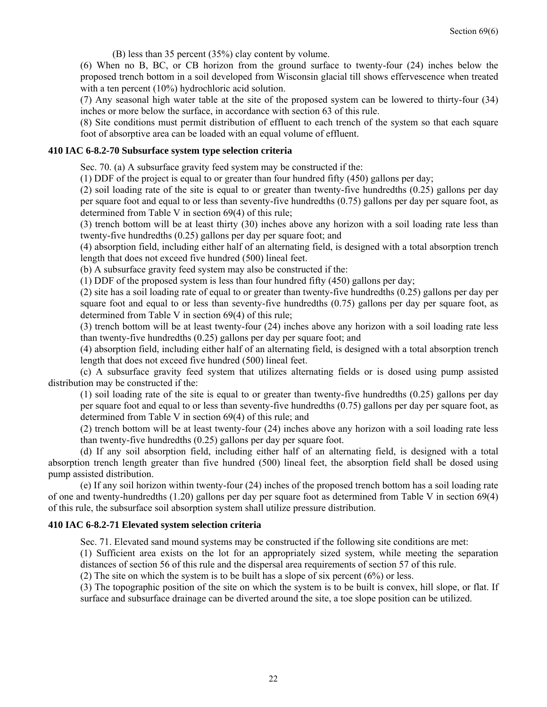(B) less than 35 percent (35%) clay content by volume.

(6) When no B, BC, or CB horizon from the ground surface to twenty-four (24) inches below the proposed trench bottom in a soil developed from Wisconsin glacial till shows effervescence when treated with a ten percent (10%) hydrochloric acid solution.

(7) Any seasonal high water table at the site of the proposed system can be lowered to thirty-four (34) inches or more below the surface, in accordance with section 63 of this rule.

(8) Site conditions must permit distribution of effluent to each trench of the system so that each square foot of absorptive area can be loaded with an equal volume of effluent.

#### **410 IAC 6-8.2-70 Subsurface system type selection criteria**

Sec. 70. (a) A subsurface gravity feed system may be constructed if the:

(1) DDF of the project is equal to or greater than four hundred fifty (450) gallons per day;

(2) soil loading rate of the site is equal to or greater than twenty-five hundredths (0.25) gallons per day per square foot and equal to or less than seventy-five hundredths (0.75) gallons per day per square foot, as determined from Table V in section 69(4) of this rule;

(3) trench bottom will be at least thirty (30) inches above any horizon with a soil loading rate less than twenty-five hundredths (0.25) gallons per day per square foot; and

(4) absorption field, including either half of an alternating field, is designed with a total absorption trench length that does not exceed five hundred (500) lineal feet.

(b) A subsurface gravity feed system may also be constructed if the:

(1) DDF of the proposed system is less than four hundred fifty (450) gallons per day;

(2) site has a soil loading rate of equal to or greater than twenty-five hundredths (0.25) gallons per day per square foot and equal to or less than seventy-five hundredths  $(0.75)$  gallons per day per square foot, as determined from Table V in section 69(4) of this rule;

(3) trench bottom will be at least twenty-four (24) inches above any horizon with a soil loading rate less than twenty-five hundredths (0.25) gallons per day per square foot; and

(4) absorption field, including either half of an alternating field, is designed with a total absorption trench length that does not exceed five hundred (500) lineal feet.

 (c) A subsurface gravity feed system that utilizes alternating fields or is dosed using pump assisted distribution may be constructed if the:

(1) soil loading rate of the site is equal to or greater than twenty-five hundredths (0.25) gallons per day per square foot and equal to or less than seventy-five hundredths (0.75) gallons per day per square foot, as determined from Table V in section 69(4) of this rule; and

(2) trench bottom will be at least twenty-four (24) inches above any horizon with a soil loading rate less than twenty-five hundredths (0.25) gallons per day per square foot.

 (d) If any soil absorption field, including either half of an alternating field, is designed with a total absorption trench length greater than five hundred (500) lineal feet, the absorption field shall be dosed using pump assisted distribution.

 (e) If any soil horizon within twenty-four (24) inches of the proposed trench bottom has a soil loading rate of one and twenty-hundredths (1.20) gallons per day per square foot as determined from Table V in section 69(4) of this rule, the subsurface soil absorption system shall utilize pressure distribution.

#### **410 IAC 6-8.2-71 Elevated system selection criteria**

Sec. 71. Elevated sand mound systems may be constructed if the following site conditions are met:

(1) Sufficient area exists on the lot for an appropriately sized system, while meeting the separation distances of section 56 of this rule and the dispersal area requirements of section 57 of this rule.

(2) The site on which the system is to be built has a slope of six percent (6%) or less.

(3) The topographic position of the site on which the system is to be built is convex, hill slope, or flat. If surface and subsurface drainage can be diverted around the site, a toe slope position can be utilized.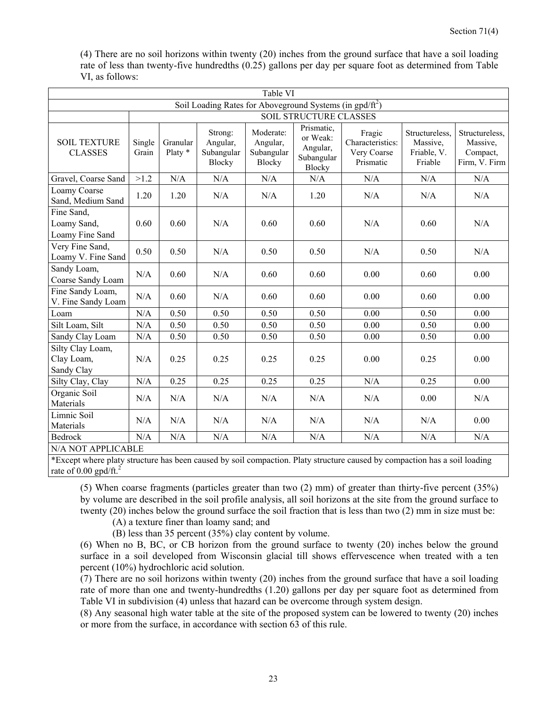(4) There are no soil horizons within twenty (20) inches from the ground surface that have a soil loading rate of less than twenty-five hundredths (0.25) gallons per day per square foot as determined from Table VI, as follows:

| Table VI                                                    |                 |                     |                                                    |                                                      |                                                                   |                                                        |                                                      |                                                         |  |  |
|-------------------------------------------------------------|-----------------|---------------------|----------------------------------------------------|------------------------------------------------------|-------------------------------------------------------------------|--------------------------------------------------------|------------------------------------------------------|---------------------------------------------------------|--|--|
| Soil Loading Rates for Aboveground Systems (in $gpd/ft^2$ ) |                 |                     |                                                    |                                                      |                                                                   |                                                        |                                                      |                                                         |  |  |
| <b>SOIL STRUCTURE CLASSES</b>                               |                 |                     |                                                    |                                                      |                                                                   |                                                        |                                                      |                                                         |  |  |
| <b>SOIL TEXTURE</b><br><b>CLASSES</b>                       | Single<br>Grain | Granular<br>Platy * | Strong:<br>Angular,<br>Subangular<br><b>Blocky</b> | Moderate:<br>Angular,<br>Subangular<br><b>Blocky</b> | Prismatic,<br>or Weak:<br>Angular,<br>Subangular<br><b>Blocky</b> | Fragic<br>Characteristics:<br>Very Coarse<br>Prismatic | Structureless,<br>Massive,<br>Friable, V.<br>Friable | Structureless,<br>Massive,<br>Compact,<br>Firm, V. Firm |  |  |
| Gravel, Coarse Sand                                         | >1.2            | N/A                 | N/A                                                | N/A                                                  | N/A                                                               | N/A                                                    | N/A                                                  | N/A                                                     |  |  |
| Loamy Coarse<br>Sand, Medium Sand                           | 1.20            | 1.20                | N/A                                                | N/A                                                  | 1.20                                                              | N/A                                                    | N/A                                                  | N/A                                                     |  |  |
| Fine Sand,<br>Loamy Sand,<br>Loamy Fine Sand                | 0.60            | 0.60                | N/A                                                | 0.60                                                 | 0.60                                                              | N/A                                                    | 0.60                                                 | N/A                                                     |  |  |
| Very Fine Sand,<br>Loamy V. Fine Sand                       | 0.50            | 0.50                | N/A                                                | 0.50                                                 | 0.50                                                              | N/A                                                    | 0.50                                                 | N/A                                                     |  |  |
| Sandy Loam,<br>Coarse Sandy Loam                            | N/A             | 0.60                | N/A                                                | 0.60                                                 | 0.60                                                              | 0.00                                                   | 0.60                                                 | 0.00                                                    |  |  |
| Fine Sandy Loam,<br>V. Fine Sandy Loam                      | N/A             | 0.60                | N/A                                                | 0.60                                                 | 0.60                                                              | 0.00                                                   | 0.60                                                 | 0.00                                                    |  |  |
| Loam                                                        | N/A             | 0.50                | 0.50                                               | 0.50                                                 | 0.50                                                              | 0.00                                                   | 0.50                                                 | 0.00                                                    |  |  |
| Silt Loam, Silt                                             | N/A             | 0.50                | 0.50                                               | 0.50                                                 | 0.50                                                              | 0.00                                                   | 0.50                                                 | 0.00                                                    |  |  |
| Sandy Clay Loam                                             | N/A             | 0.50                | 0.50                                               | 0.50                                                 | 0.50                                                              | 0.00                                                   | 0.50                                                 | 0.00                                                    |  |  |
| Silty Clay Loam,<br>Clay Loam,<br>Sandy Clay                | N/A             | 0.25                | 0.25                                               | 0.25                                                 | 0.25                                                              | 0.00                                                   | 0.25                                                 | 0.00                                                    |  |  |
| Silty Clay, Clay                                            | N/A             | 0.25                | 0.25                                               | 0.25                                                 | 0.25                                                              | N/A                                                    | 0.25                                                 | 0.00                                                    |  |  |
| Organic Soil<br>Materials                                   | N/A             | N/A                 | N/A                                                | N/A                                                  | N/A                                                               | N/A                                                    | 0.00                                                 | N/A                                                     |  |  |
| Limnic Soil<br>Materials                                    | N/A             | N/A                 | N/A                                                | N/A                                                  | N/A                                                               | N/A                                                    | N/A                                                  | 0.00                                                    |  |  |
| <b>Bedrock</b>                                              | N/A             | N/A                 | N/A                                                | N/A                                                  | N/A                                                               | N/A                                                    | N/A                                                  | N/A                                                     |  |  |
| N/A NOT APPLICABLE                                          |                 |                     |                                                    |                                                      |                                                                   |                                                        |                                                      |                                                         |  |  |

\*Except where platy structure has been caused by soil compaction. Platy structure caused by compaction has a soil loading rate of 0.00 gpd/ft. $^{2}$ 

(5) When coarse fragments (particles greater than two (2) mm) of greater than thirty-five percent (35%) by volume are described in the soil profile analysis, all soil horizons at the site from the ground surface to twenty (20) inches below the ground surface the soil fraction that is less than two (2) mm in size must be:

(A) a texture finer than loamy sand; and

(B) less than 35 percent (35%) clay content by volume.

(6) When no B, BC, or CB horizon from the ground surface to twenty (20) inches below the ground surface in a soil developed from Wisconsin glacial till shows effervescence when treated with a ten percent (10%) hydrochloric acid solution.

(7) There are no soil horizons within twenty (20) inches from the ground surface that have a soil loading rate of more than one and twenty-hundredths (1.20) gallons per day per square foot as determined from Table VI in subdivision (4) unless that hazard can be overcome through system design.

(8) Any seasonal high water table at the site of the proposed system can be lowered to twenty (20) inches or more from the surface, in accordance with section 63 of this rule.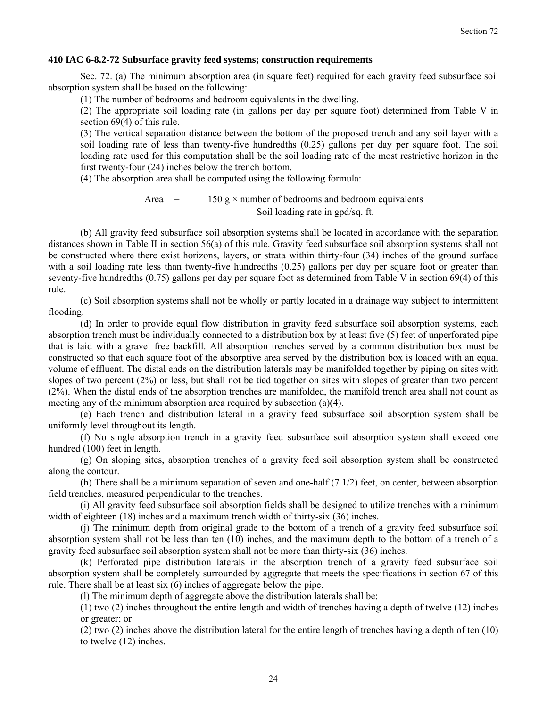#### **410 IAC 6-8.2-72 Subsurface gravity feed systems; construction requirements**

 Sec. 72. (a) The minimum absorption area (in square feet) required for each gravity feed subsurface soil absorption system shall be based on the following:

(1) The number of bedrooms and bedroom equivalents in the dwelling.

(2) The appropriate soil loading rate (in gallons per day per square foot) determined from Table V in section 69(4) of this rule.

(3) The vertical separation distance between the bottom of the proposed trench and any soil layer with a soil loading rate of less than twenty-five hundredths (0.25) gallons per day per square foot. The soil loading rate used for this computation shall be the soil loading rate of the most restrictive horizon in the first twenty-four (24) inches below the trench bottom.

(4) The absorption area shall be computed using the following formula:

Area  $=$  150 g  $\times$  number of bedrooms and bedroom equivalents Soil loading rate in gpd/sq. ft.

 (b) All gravity feed subsurface soil absorption systems shall be located in accordance with the separation distances shown in Table II in section 56(a) of this rule. Gravity feed subsurface soil absorption systems shall not be constructed where there exist horizons, layers, or strata within thirty-four (34) inches of the ground surface with a soil loading rate less than twenty-five hundredths (0.25) gallons per day per square foot or greater than seventy-five hundredths (0.75) gallons per day per square foot as determined from Table V in section 69(4) of this rule.

 (c) Soil absorption systems shall not be wholly or partly located in a drainage way subject to intermittent flooding.

 (d) In order to provide equal flow distribution in gravity feed subsurface soil absorption systems, each absorption trench must be individually connected to a distribution box by at least five (5) feet of unperforated pipe that is laid with a gravel free backfill. All absorption trenches served by a common distribution box must be constructed so that each square foot of the absorptive area served by the distribution box is loaded with an equal volume of effluent. The distal ends on the distribution laterals may be manifolded together by piping on sites with slopes of two percent (2%) or less, but shall not be tied together on sites with slopes of greater than two percent (2%). When the distal ends of the absorption trenches are manifolded, the manifold trench area shall not count as meeting any of the minimum absorption area required by subsection (a)(4).

 (e) Each trench and distribution lateral in a gravity feed subsurface soil absorption system shall be uniformly level throughout its length.

 (f) No single absorption trench in a gravity feed subsurface soil absorption system shall exceed one hundred (100) feet in length.

 (g) On sloping sites, absorption trenches of a gravity feed soil absorption system shall be constructed along the contour.

 (h) There shall be a minimum separation of seven and one-half (7 1/2) feet, on center, between absorption field trenches, measured perpendicular to the trenches.

 (i) All gravity feed subsurface soil absorption fields shall be designed to utilize trenches with a minimum width of eighteen (18) inches and a maximum trench width of thirty-six (36) inches.

 (j) The minimum depth from original grade to the bottom of a trench of a gravity feed subsurface soil absorption system shall not be less than ten (10) inches, and the maximum depth to the bottom of a trench of a gravity feed subsurface soil absorption system shall not be more than thirty-six (36) inches.

 (k) Perforated pipe distribution laterals in the absorption trench of a gravity feed subsurface soil absorption system shall be completely surrounded by aggregate that meets the specifications in section 67 of this rule. There shall be at least six (6) inches of aggregate below the pipe.

(l) The minimum depth of aggregate above the distribution laterals shall be:

(1) two (2) inches throughout the entire length and width of trenches having a depth of twelve (12) inches or greater; or

(2) two (2) inches above the distribution lateral for the entire length of trenches having a depth of ten (10) to twelve (12) inches.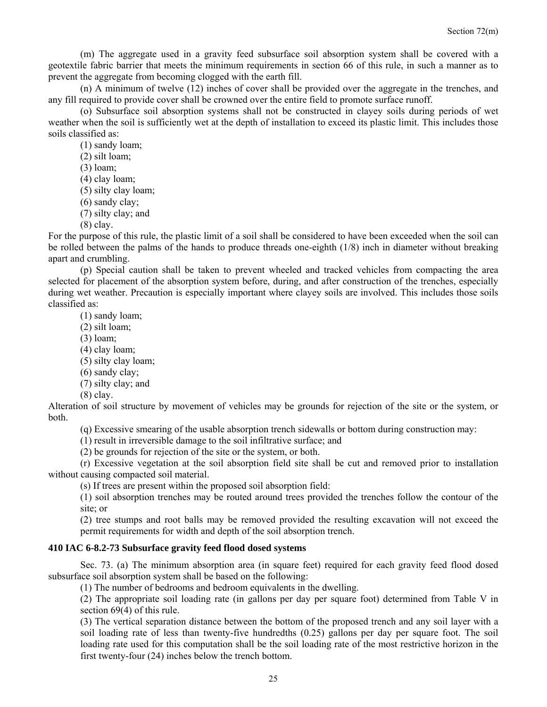(m) The aggregate used in a gravity feed subsurface soil absorption system shall be covered with a geotextile fabric barrier that meets the minimum requirements in section 66 of this rule, in such a manner as to prevent the aggregate from becoming clogged with the earth fill.

 (n) A minimum of twelve (12) inches of cover shall be provided over the aggregate in the trenches, and any fill required to provide cover shall be crowned over the entire field to promote surface runoff.

 (o) Subsurface soil absorption systems shall not be constructed in clayey soils during periods of wet weather when the soil is sufficiently wet at the depth of installation to exceed its plastic limit. This includes those soils classified as:

(1) sandy loam;

(2) silt loam;

(3) loam;

(4) clay loam;

(5) silty clay loam;

(6) sandy clay; (7) silty clay; and

(8) clay.

For the purpose of this rule, the plastic limit of a soil shall be considered to have been exceeded when the soil can be rolled between the palms of the hands to produce threads one-eighth (1/8) inch in diameter without breaking apart and crumbling.

 (p) Special caution shall be taken to prevent wheeled and tracked vehicles from compacting the area selected for placement of the absorption system before, during, and after construction of the trenches, especially during wet weather. Precaution is especially important where clayey soils are involved. This includes those soils classified as:

(1) sandy loam;

(2) silt loam;

(3) loam;

(4) clay loam;

(5) silty clay loam;

(6) sandy clay;

(7) silty clay; and

(8) clay.

Alteration of soil structure by movement of vehicles may be grounds for rejection of the site or the system, or both.

(q) Excessive smearing of the usable absorption trench sidewalls or bottom during construction may:

(1) result in irreversible damage to the soil infiltrative surface; and

(2) be grounds for rejection of the site or the system, or both.

 (r) Excessive vegetation at the soil absorption field site shall be cut and removed prior to installation without causing compacted soil material.

(s) If trees are present within the proposed soil absorption field:

(1) soil absorption trenches may be routed around trees provided the trenches follow the contour of the site; or

(2) tree stumps and root balls may be removed provided the resulting excavation will not exceed the permit requirements for width and depth of the soil absorption trench.

#### **410 IAC 6-8.2-73 Subsurface gravity feed flood dosed systems**

 Sec. 73. (a) The minimum absorption area (in square feet) required for each gravity feed flood dosed subsurface soil absorption system shall be based on the following:

(1) The number of bedrooms and bedroom equivalents in the dwelling.

(2) The appropriate soil loading rate (in gallons per day per square foot) determined from Table V in section 69(4) of this rule.

(3) The vertical separation distance between the bottom of the proposed trench and any soil layer with a soil loading rate of less than twenty-five hundredths (0.25) gallons per day per square foot. The soil loading rate used for this computation shall be the soil loading rate of the most restrictive horizon in the first twenty-four (24) inches below the trench bottom.

25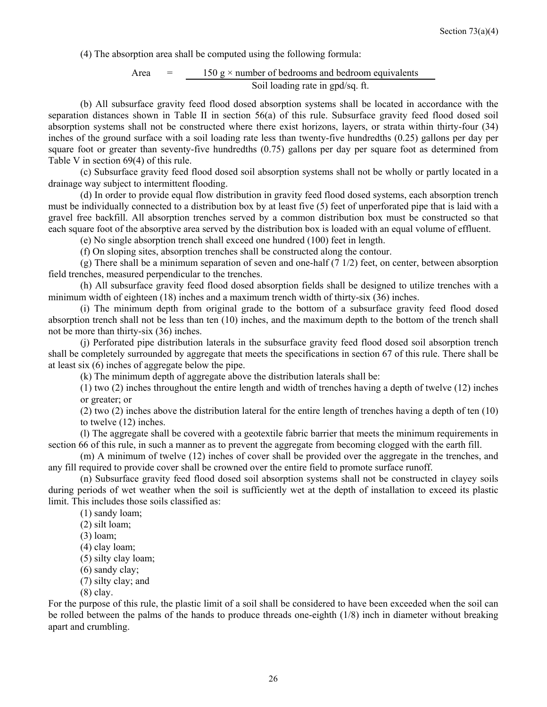(4) The absorption area shall be computed using the following formula:

Area  $=$  150 g  $\times$  number of bedrooms and bedroom equivalents Soil loading rate in gpd/sq. ft.

 (b) All subsurface gravity feed flood dosed absorption systems shall be located in accordance with the separation distances shown in Table II in section 56(a) of this rule. Subsurface gravity feed flood dosed soil absorption systems shall not be constructed where there exist horizons, layers, or strata within thirty-four (34) inches of the ground surface with a soil loading rate less than twenty-five hundredths (0.25) gallons per day per square foot or greater than seventy-five hundredths (0.75) gallons per day per square foot as determined from Table V in section 69(4) of this rule.

 (c) Subsurface gravity feed flood dosed soil absorption systems shall not be wholly or partly located in a drainage way subject to intermittent flooding.

 (d) In order to provide equal flow distribution in gravity feed flood dosed systems, each absorption trench must be individually connected to a distribution box by at least five (5) feet of unperforated pipe that is laid with a gravel free backfill. All absorption trenches served by a common distribution box must be constructed so that each square foot of the absorptive area served by the distribution box is loaded with an equal volume of effluent.

(e) No single absorption trench shall exceed one hundred (100) feet in length.

(f) On sloping sites, absorption trenches shall be constructed along the contour.

(g) There shall be a minimum separation of seven and one-half  $(7 \frac{1}{2})$  feet, on center, between absorption field trenches, measured perpendicular to the trenches.

 (h) All subsurface gravity feed flood dosed absorption fields shall be designed to utilize trenches with a minimum width of eighteen (18) inches and a maximum trench width of thirty-six (36) inches.

 (i) The minimum depth from original grade to the bottom of a subsurface gravity feed flood dosed absorption trench shall not be less than ten (10) inches, and the maximum depth to the bottom of the trench shall not be more than thirty-six (36) inches.

 (j) Perforated pipe distribution laterals in the subsurface gravity feed flood dosed soil absorption trench shall be completely surrounded by aggregate that meets the specifications in section 67 of this rule. There shall be at least six (6) inches of aggregate below the pipe.

(k) The minimum depth of aggregate above the distribution laterals shall be:

(1) two (2) inches throughout the entire length and width of trenches having a depth of twelve (12) inches or greater; or

(2) two (2) inches above the distribution lateral for the entire length of trenches having a depth of ten (10) to twelve (12) inches.

 (l) The aggregate shall be covered with a geotextile fabric barrier that meets the minimum requirements in section 66 of this rule, in such a manner as to prevent the aggregate from becoming clogged with the earth fill.

 (m) A minimum of twelve (12) inches of cover shall be provided over the aggregate in the trenches, and any fill required to provide cover shall be crowned over the entire field to promote surface runoff.

 (n) Subsurface gravity feed flood dosed soil absorption systems shall not be constructed in clayey soils during periods of wet weather when the soil is sufficiently wet at the depth of installation to exceed its plastic limit. This includes those soils classified as:

(1) sandy loam;

(2) silt loam;

(3) loam;

(4) clay loam;

(5) silty clay loam;

(6) sandy clay;

(7) silty clay; and

(8) clay.

For the purpose of this rule, the plastic limit of a soil shall be considered to have been exceeded when the soil can be rolled between the palms of the hands to produce threads one-eighth (1/8) inch in diameter without breaking apart and crumbling.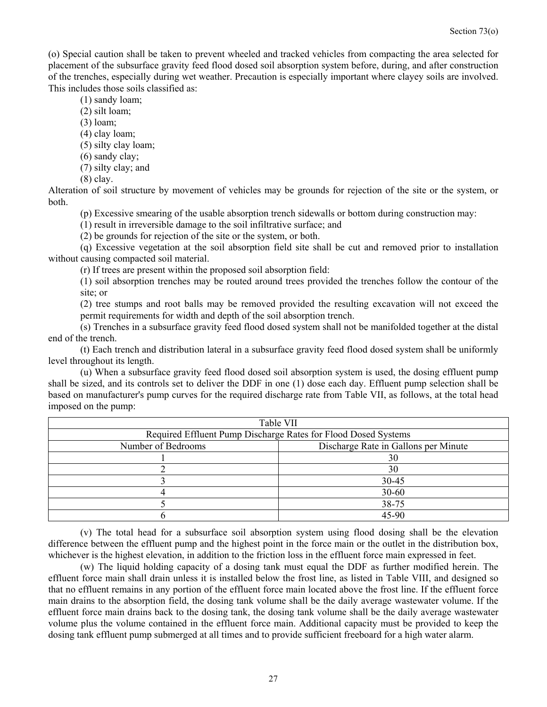(o) Special caution shall be taken to prevent wheeled and tracked vehicles from compacting the area selected for placement of the subsurface gravity feed flood dosed soil absorption system before, during, and after construction of the trenches, especially during wet weather. Precaution is especially important where clayey soils are involved. This includes those soils classified as:

(1) sandy loam;

- (2) silt loam;
- (3) loam;
- (4) clay loam;
- (5) silty clay loam;
- (6) sandy clay;
- (7) silty clay; and
- (8) clay.

Alteration of soil structure by movement of vehicles may be grounds for rejection of the site or the system, or both.

(p) Excessive smearing of the usable absorption trench sidewalls or bottom during construction may:

(1) result in irreversible damage to the soil infiltrative surface; and

(2) be grounds for rejection of the site or the system, or both.

 (q) Excessive vegetation at the soil absorption field site shall be cut and removed prior to installation without causing compacted soil material.

(r) If trees are present within the proposed soil absorption field:

(1) soil absorption trenches may be routed around trees provided the trenches follow the contour of the site; or

(2) tree stumps and root balls may be removed provided the resulting excavation will not exceed the permit requirements for width and depth of the soil absorption trench.

 (s) Trenches in a subsurface gravity feed flood dosed system shall not be manifolded together at the distal end of the trench.

 (t) Each trench and distribution lateral in a subsurface gravity feed flood dosed system shall be uniformly level throughout its length.

 (u) When a subsurface gravity feed flood dosed soil absorption system is used, the dosing effluent pump shall be sized, and its controls set to deliver the DDF in one (1) dose each day. Effluent pump selection shall be based on manufacturer's pump curves for the required discharge rate from Table VII, as follows, at the total head imposed on the pump:

| Table VII                                                      |                                      |  |  |  |  |  |  |
|----------------------------------------------------------------|--------------------------------------|--|--|--|--|--|--|
| Required Effluent Pump Discharge Rates for Flood Dosed Systems |                                      |  |  |  |  |  |  |
| Number of Bedrooms                                             | Discharge Rate in Gallons per Minute |  |  |  |  |  |  |
|                                                                | 30                                   |  |  |  |  |  |  |
|                                                                | 30                                   |  |  |  |  |  |  |
|                                                                | 30-45                                |  |  |  |  |  |  |
|                                                                | $30 - 60$                            |  |  |  |  |  |  |
|                                                                | 38-75                                |  |  |  |  |  |  |
|                                                                | 45-90                                |  |  |  |  |  |  |

 (v) The total head for a subsurface soil absorption system using flood dosing shall be the elevation difference between the effluent pump and the highest point in the force main or the outlet in the distribution box, whichever is the highest elevation, in addition to the friction loss in the effluent force main expressed in feet.

 (w) The liquid holding capacity of a dosing tank must equal the DDF as further modified herein. The effluent force main shall drain unless it is installed below the frost line, as listed in Table VIII, and designed so that no effluent remains in any portion of the effluent force main located above the frost line. If the effluent force main drains to the absorption field, the dosing tank volume shall be the daily average wastewater volume. If the effluent force main drains back to the dosing tank, the dosing tank volume shall be the daily average wastewater volume plus the volume contained in the effluent force main. Additional capacity must be provided to keep the dosing tank effluent pump submerged at all times and to provide sufficient freeboard for a high water alarm.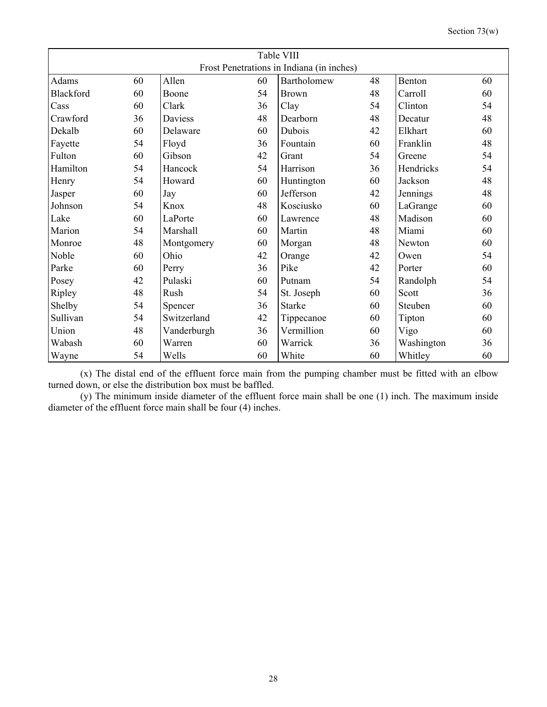|  | Section $73(w)$ |
|--|-----------------|
|--|-----------------|

| Table VIII                                |    |             |    |               |    |            |    |  |  |  |
|-------------------------------------------|----|-------------|----|---------------|----|------------|----|--|--|--|
| Frost Penetrations in Indiana (in inches) |    |             |    |               |    |            |    |  |  |  |
| Adams                                     | 60 | Allen       | 60 | Bartholomew   | 48 | Benton     | 60 |  |  |  |
| <b>Blackford</b>                          | 60 | Boone       | 54 | <b>Brown</b>  | 48 | Carroll    | 60 |  |  |  |
| Cass                                      | 60 | Clark       | 36 | Clay          | 54 | Clinton    | 54 |  |  |  |
| Crawford                                  | 36 | Daviess     | 48 | Dearborn      | 48 | Decatur    | 48 |  |  |  |
| Dekalb                                    | 60 | Delaware    | 60 | Dubois        | 42 | Elkhart    | 60 |  |  |  |
| Fayette                                   | 54 | Floyd       | 36 | Fountain      | 60 | Franklin   | 48 |  |  |  |
| Fulton                                    | 60 | Gibson      | 42 | Grant         | 54 | Greene     | 54 |  |  |  |
| Hamilton                                  | 54 | Hancock     | 54 | Harrison      | 36 | Hendricks  | 54 |  |  |  |
| Henry                                     | 54 | Howard      | 60 | Huntington    | 60 | Jackson    | 48 |  |  |  |
| Jasper                                    | 60 | Jay         | 60 | Jefferson     | 42 | Jennings   | 48 |  |  |  |
| Johnson                                   | 54 | Knox        | 48 | Kosciusko     | 60 | LaGrange   | 60 |  |  |  |
| Lake                                      | 60 | LaPorte     | 60 | Lawrence      | 48 | Madison    | 60 |  |  |  |
| Marion                                    | 54 | Marshall    | 60 | Martin        | 48 | Miami      | 60 |  |  |  |
| Monroe                                    | 48 | Montgomery  | 60 | Morgan        | 48 | Newton     | 60 |  |  |  |
| Noble                                     | 60 | Ohio        | 42 | Orange        | 42 | Owen       | 54 |  |  |  |
| Parke                                     | 60 | Perry       | 36 | Pike          | 42 | Porter     | 60 |  |  |  |
| Posey                                     | 42 | Pulaski     | 60 | Putnam        | 54 | Randolph   | 54 |  |  |  |
| Ripley                                    | 48 | Rush        | 54 | St. Joseph    | 60 | Scott      | 36 |  |  |  |
| Shelby                                    | 54 | Spencer     | 36 | <b>Starke</b> | 60 | Steuben    | 60 |  |  |  |
| Sullivan                                  | 54 | Switzerland | 42 | Tippecanoe    | 60 | Tipton     | 60 |  |  |  |
| Union                                     | 48 | Vanderburgh | 36 | Vermillion    | 60 | Vigo       | 60 |  |  |  |
| Wabash                                    | 60 | Warren      | 60 | Warrick       | 36 | Washington | 36 |  |  |  |
| Wayne                                     | 54 | Wells       | 60 | White         | 60 | Whitley    | 60 |  |  |  |

 (x) The distal end of the effluent force main from the pumping chamber must be fitted with an elbow turned down, or else the distribution box must be baffled.

 (y) The minimum inside diameter of the effluent force main shall be one (1) inch. The maximum inside diameter of the effluent force main shall be four (4) inches.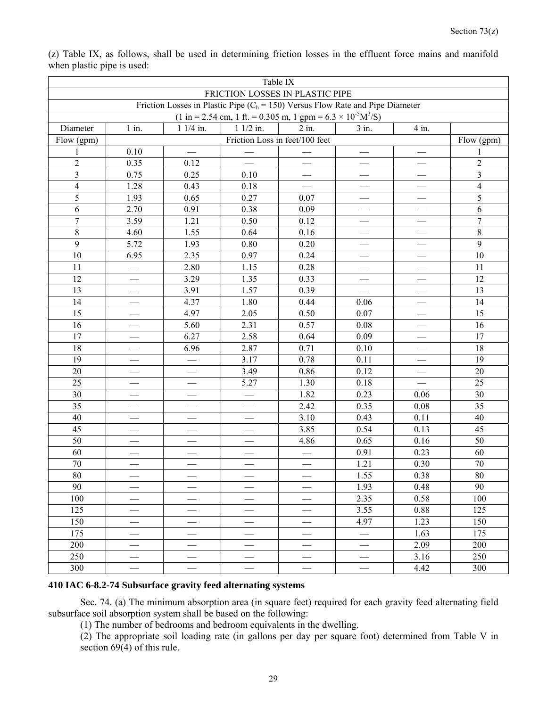| Table IX   |                                                                                 |                                                                                                                |                                                                         |                                                                                   |                                                                                                                                                                                                            |                                                                                                                                                    |  |  |  |  |
|------------|---------------------------------------------------------------------------------|----------------------------------------------------------------------------------------------------------------|-------------------------------------------------------------------------|-----------------------------------------------------------------------------------|------------------------------------------------------------------------------------------------------------------------------------------------------------------------------------------------------------|----------------------------------------------------------------------------------------------------------------------------------------------------|--|--|--|--|
|            |                                                                                 |                                                                                                                |                                                                         |                                                                                   |                                                                                                                                                                                                            |                                                                                                                                                    |  |  |  |  |
|            |                                                                                 |                                                                                                                |                                                                         |                                                                                   |                                                                                                                                                                                                            |                                                                                                                                                    |  |  |  |  |
| Diameter   |                                                                                 |                                                                                                                |                                                                         |                                                                                   |                                                                                                                                                                                                            |                                                                                                                                                    |  |  |  |  |
|            |                                                                                 |                                                                                                                |                                                                         |                                                                                   |                                                                                                                                                                                                            |                                                                                                                                                    |  |  |  |  |
| Flow (gpm) |                                                                                 |                                                                                                                |                                                                         |                                                                                   |                                                                                                                                                                                                            |                                                                                                                                                    |  |  |  |  |
|            |                                                                                 |                                                                                                                |                                                                         |                                                                                   | $\qquad \qquad$                                                                                                                                                                                            | 1                                                                                                                                                  |  |  |  |  |
|            |                                                                                 |                                                                                                                |                                                                         |                                                                                   |                                                                                                                                                                                                            | $\overline{c}$                                                                                                                                     |  |  |  |  |
|            |                                                                                 |                                                                                                                |                                                                         |                                                                                   |                                                                                                                                                                                                            | $\mathfrak{Z}$                                                                                                                                     |  |  |  |  |
|            |                                                                                 |                                                                                                                |                                                                         |                                                                                   |                                                                                                                                                                                                            | $\overline{\mathbf{4}}$                                                                                                                            |  |  |  |  |
|            |                                                                                 |                                                                                                                |                                                                         |                                                                                   |                                                                                                                                                                                                            | 5                                                                                                                                                  |  |  |  |  |
|            |                                                                                 |                                                                                                                |                                                                         |                                                                                   |                                                                                                                                                                                                            | 6                                                                                                                                                  |  |  |  |  |
|            |                                                                                 |                                                                                                                |                                                                         | $\overline{\phantom{0}}$                                                          |                                                                                                                                                                                                            | $\boldsymbol{7}$                                                                                                                                   |  |  |  |  |
|            |                                                                                 | 0.64                                                                                                           |                                                                         | $\overline{\phantom{0}}$                                                          |                                                                                                                                                                                                            | $\,8\,$                                                                                                                                            |  |  |  |  |
|            |                                                                                 |                                                                                                                |                                                                         |                                                                                   |                                                                                                                                                                                                            | 9                                                                                                                                                  |  |  |  |  |
| 6.95       |                                                                                 | 0.97                                                                                                           | 0.24                                                                    | $\overline{\phantom{0}}$                                                          |                                                                                                                                                                                                            | 10                                                                                                                                                 |  |  |  |  |
|            | 2.80                                                                            | 1.15                                                                                                           | 0.28                                                                    |                                                                                   |                                                                                                                                                                                                            | 11                                                                                                                                                 |  |  |  |  |
|            | 3.29                                                                            | 1.35                                                                                                           | 0.33                                                                    |                                                                                   |                                                                                                                                                                                                            | 12                                                                                                                                                 |  |  |  |  |
|            | 3.91                                                                            | 1.57                                                                                                           | 0.39                                                                    |                                                                                   |                                                                                                                                                                                                            | 13                                                                                                                                                 |  |  |  |  |
|            | 4.37                                                                            | 1.80                                                                                                           | 0.44                                                                    | 0.06                                                                              | $\overline{\phantom{0}}$                                                                                                                                                                                   | 14                                                                                                                                                 |  |  |  |  |
|            | 4.97                                                                            | 2.05                                                                                                           | 0.50                                                                    | 0.07                                                                              |                                                                                                                                                                                                            | 15                                                                                                                                                 |  |  |  |  |
|            | 5.60                                                                            | 2.31                                                                                                           | 0.57                                                                    | 0.08                                                                              |                                                                                                                                                                                                            | 16                                                                                                                                                 |  |  |  |  |
|            | 6.27                                                                            | 2.58                                                                                                           | 0.64                                                                    | 0.09                                                                              |                                                                                                                                                                                                            | 17                                                                                                                                                 |  |  |  |  |
|            | 6.96                                                                            | 2.87                                                                                                           | 0.71                                                                    | 0.10                                                                              |                                                                                                                                                                                                            | 18                                                                                                                                                 |  |  |  |  |
|            |                                                                                 | 3.17                                                                                                           | 0.78                                                                    | 0.11                                                                              |                                                                                                                                                                                                            | 19                                                                                                                                                 |  |  |  |  |
|            | $\overline{\phantom{0}}$                                                        | 3.49                                                                                                           | 0.86                                                                    | 0.12                                                                              |                                                                                                                                                                                                            | $20\,$                                                                                                                                             |  |  |  |  |
|            |                                                                                 | 5.27                                                                                                           | 1.30                                                                    | 0.18                                                                              |                                                                                                                                                                                                            | 25                                                                                                                                                 |  |  |  |  |
|            |                                                                                 |                                                                                                                | 1.82                                                                    | 0.23                                                                              | 0.06                                                                                                                                                                                                       | 30                                                                                                                                                 |  |  |  |  |
|            |                                                                                 |                                                                                                                | 2.42                                                                    | 0.35                                                                              | 0.08                                                                                                                                                                                                       | 35                                                                                                                                                 |  |  |  |  |
|            |                                                                                 |                                                                                                                | 3.10                                                                    | 0.43                                                                              | 0.11                                                                                                                                                                                                       | 40                                                                                                                                                 |  |  |  |  |
|            |                                                                                 | $\qquad \qquad$                                                                                                | 3.85                                                                    | 0.54                                                                              | 0.13                                                                                                                                                                                                       | 45                                                                                                                                                 |  |  |  |  |
|            |                                                                                 |                                                                                                                | 4.86                                                                    | 0.65                                                                              | 0.16                                                                                                                                                                                                       | 50                                                                                                                                                 |  |  |  |  |
|            |                                                                                 |                                                                                                                |                                                                         | 0.91                                                                              | 0.23                                                                                                                                                                                                       | 60                                                                                                                                                 |  |  |  |  |
|            |                                                                                 | $\qquad \qquad$                                                                                                |                                                                         | 1.21                                                                              | 0.30                                                                                                                                                                                                       | 70                                                                                                                                                 |  |  |  |  |
|            |                                                                                 |                                                                                                                |                                                                         |                                                                                   |                                                                                                                                                                                                            | $80\,$                                                                                                                                             |  |  |  |  |
|            |                                                                                 |                                                                                                                |                                                                         |                                                                                   |                                                                                                                                                                                                            | 90                                                                                                                                                 |  |  |  |  |
|            |                                                                                 |                                                                                                                |                                                                         |                                                                                   |                                                                                                                                                                                                            | 100                                                                                                                                                |  |  |  |  |
|            |                                                                                 |                                                                                                                | $\overline{\phantom{0}}$                                                | 3.55                                                                              | 0.88                                                                                                                                                                                                       | 125                                                                                                                                                |  |  |  |  |
|            |                                                                                 |                                                                                                                | $\overbrace{\phantom{13333}}$                                           |                                                                                   |                                                                                                                                                                                                            | 150                                                                                                                                                |  |  |  |  |
|            |                                                                                 |                                                                                                                |                                                                         |                                                                                   | 1.63                                                                                                                                                                                                       | 175                                                                                                                                                |  |  |  |  |
|            |                                                                                 |                                                                                                                |                                                                         |                                                                                   |                                                                                                                                                                                                            | 200                                                                                                                                                |  |  |  |  |
|            |                                                                                 |                                                                                                                |                                                                         |                                                                                   |                                                                                                                                                                                                            | 250                                                                                                                                                |  |  |  |  |
|            |                                                                                 |                                                                                                                |                                                                         |                                                                                   |                                                                                                                                                                                                            | 300                                                                                                                                                |  |  |  |  |
|            | $1$ in.<br>0.10<br>0.35<br>0.75<br>1.28<br>1.93<br>2.70<br>3.59<br>4.60<br>5.72 | $11/4$ in.<br>0.12<br>0.25<br>0.43<br>0.65<br>0.91<br>1.21<br>1.55<br>1.93<br>2.35<br>$\overline{\phantom{0}}$ | $1 \frac{1}{2}$ in.<br>0.10<br>0.18<br>0.27<br>0.38<br>0.50<br>$0.80\,$ | $2$ in.<br>Friction Loss in feet/100 feet<br>0.07<br>0.09<br>0.12<br>0.16<br>0.20 | FRICTION LOSSES IN PLASTIC PIPE<br>$(1 \text{ in } = 2.54 \text{ cm}, 1 \text{ ft.} = 0.305 \text{ m}, 1 \text{ gpm} = 6.3 \times 10^{-5} \text{M}^3/\text{S})$<br>$3$ in.<br>1.55<br>1.93<br>2.35<br>4.97 | Friction Losses in Plastic Pipe ( $C_h$ = 150) Versus Flow Rate and Pipe Diameter<br>4 in.<br>0.38<br>0.48<br>0.58<br>1.23<br>2.09<br>3.16<br>4.42 |  |  |  |  |

(z) Table IX, as follows, shall be used in determining friction losses in the effluent force mains and manifold when plastic pipe is used:

#### **410 IAC 6-8.2-74 Subsurface gravity feed alternating systems**

 Sec. 74. (a) The minimum absorption area (in square feet) required for each gravity feed alternating field subsurface soil absorption system shall be based on the following:

(1) The number of bedrooms and bedroom equivalents in the dwelling.

(2) The appropriate soil loading rate (in gallons per day per square foot) determined from Table V in section 69(4) of this rule.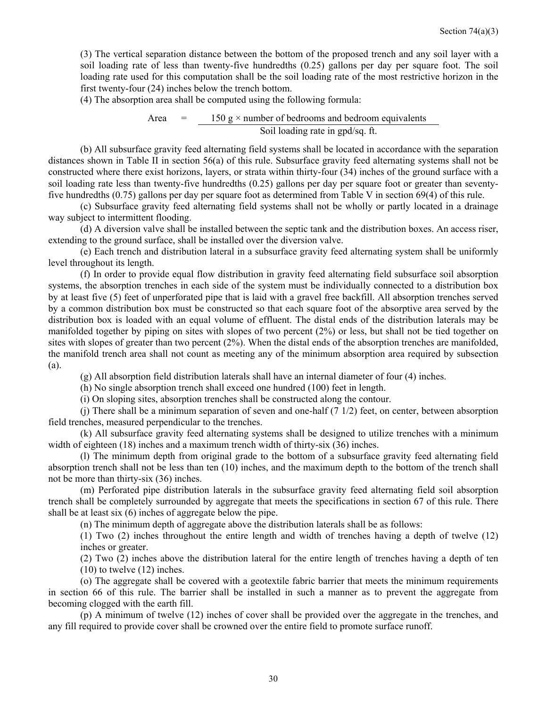(3) The vertical separation distance between the bottom of the proposed trench and any soil layer with a soil loading rate of less than twenty-five hundredths (0.25) gallons per day per square foot. The soil loading rate used for this computation shall be the soil loading rate of the most restrictive horizon in the first twenty-four (24) inches below the trench bottom.

(4) The absorption area shall be computed using the following formula:

Area  $=$  150 g  $\times$  number of bedrooms and bedroom equivalents Soil loading rate in gpd/sq. ft.

 (b) All subsurface gravity feed alternating field systems shall be located in accordance with the separation distances shown in Table II in section 56(a) of this rule. Subsurface gravity feed alternating systems shall not be constructed where there exist horizons, layers, or strata within thirty-four (34) inches of the ground surface with a soil loading rate less than twenty-five hundredths (0.25) gallons per day per square foot or greater than seventyfive hundredths (0.75) gallons per day per square foot as determined from Table V in section 69(4) of this rule.

 (c) Subsurface gravity feed alternating field systems shall not be wholly or partly located in a drainage way subject to intermittent flooding.

 (d) A diversion valve shall be installed between the septic tank and the distribution boxes. An access riser, extending to the ground surface, shall be installed over the diversion valve.

 (e) Each trench and distribution lateral in a subsurface gravity feed alternating system shall be uniformly level throughout its length.

 (f) In order to provide equal flow distribution in gravity feed alternating field subsurface soil absorption systems, the absorption trenches in each side of the system must be individually connected to a distribution box by at least five (5) feet of unperforated pipe that is laid with a gravel free backfill. All absorption trenches served by a common distribution box must be constructed so that each square foot of the absorptive area served by the distribution box is loaded with an equal volume of effluent. The distal ends of the distribution laterals may be manifolded together by piping on sites with slopes of two percent (2%) or less, but shall not be tied together on sites with slopes of greater than two percent (2%). When the distal ends of the absorption trenches are manifolded, the manifold trench area shall not count as meeting any of the minimum absorption area required by subsection (a).

(g) All absorption field distribution laterals shall have an internal diameter of four (4) inches.

(h) No single absorption trench shall exceed one hundred (100) feet in length.

(i) On sloping sites, absorption trenches shall be constructed along the contour.

(j) There shall be a minimum separation of seven and one-half  $(7\ 1/2)$  feet, on center, between absorption field trenches, measured perpendicular to the trenches.

 (k) All subsurface gravity feed alternating systems shall be designed to utilize trenches with a minimum width of eighteen (18) inches and a maximum trench width of thirty-six (36) inches.

 (l) The minimum depth from original grade to the bottom of a subsurface gravity feed alternating field absorption trench shall not be less than ten (10) inches, and the maximum depth to the bottom of the trench shall not be more than thirty-six (36) inches.

 (m) Perforated pipe distribution laterals in the subsurface gravity feed alternating field soil absorption trench shall be completely surrounded by aggregate that meets the specifications in section 67 of this rule. There shall be at least six (6) inches of aggregate below the pipe.

(n) The minimum depth of aggregate above the distribution laterals shall be as follows:

(1) Two (2) inches throughout the entire length and width of trenches having a depth of twelve (12) inches or greater.

(2) Two (2) inches above the distribution lateral for the entire length of trenches having a depth of ten (10) to twelve (12) inches.

 (o) The aggregate shall be covered with a geotextile fabric barrier that meets the minimum requirements in section 66 of this rule. The barrier shall be installed in such a manner as to prevent the aggregate from becoming clogged with the earth fill.

 (p) A minimum of twelve (12) inches of cover shall be provided over the aggregate in the trenches, and any fill required to provide cover shall be crowned over the entire field to promote surface runoff.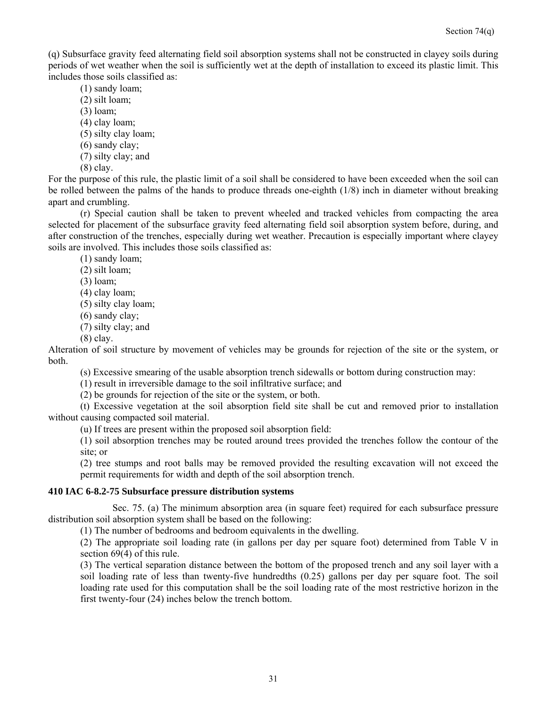(q) Subsurface gravity feed alternating field soil absorption systems shall not be constructed in clayey soils during periods of wet weather when the soil is sufficiently wet at the depth of installation to exceed its plastic limit. This includes those soils classified as:

- (1) sandy loam;
- (2) silt loam;
- (3) loam;
- (4) clay loam;
- (5) silty clay loam;
- (6) sandy clay;
- (7) silty clay; and
- (8) clay.

For the purpose of this rule, the plastic limit of a soil shall be considered to have been exceeded when the soil can be rolled between the palms of the hands to produce threads one-eighth (1/8) inch in diameter without breaking apart and crumbling.

 (r) Special caution shall be taken to prevent wheeled and tracked vehicles from compacting the area selected for placement of the subsurface gravity feed alternating field soil absorption system before, during, and after construction of the trenches, especially during wet weather. Precaution is especially important where clayey soils are involved. This includes those soils classified as:

(1) sandy loam;

- (2) silt loam;
- (3) loam;
- (4) clay loam;
- (5) silty clay loam;
- (6) sandy clay;
- (7) silty clay; and
- (8) clay.

Alteration of soil structure by movement of vehicles may be grounds for rejection of the site or the system, or both.

(s) Excessive smearing of the usable absorption trench sidewalls or bottom during construction may:

(1) result in irreversible damage to the soil infiltrative surface; and

(2) be grounds for rejection of the site or the system, or both.

 (t) Excessive vegetation at the soil absorption field site shall be cut and removed prior to installation without causing compacted soil material.

(u) If trees are present within the proposed soil absorption field:

(1) soil absorption trenches may be routed around trees provided the trenches follow the contour of the site; or

(2) tree stumps and root balls may be removed provided the resulting excavation will not exceed the permit requirements for width and depth of the soil absorption trench.

#### **410 IAC 6-8.2-75 Subsurface pressure distribution systems**

 Sec. 75. (a) The minimum absorption area (in square feet) required for each subsurface pressure distribution soil absorption system shall be based on the following:

(1) The number of bedrooms and bedroom equivalents in the dwelling.

(2) The appropriate soil loading rate (in gallons per day per square foot) determined from Table V in section 69(4) of this rule.

(3) The vertical separation distance between the bottom of the proposed trench and any soil layer with a soil loading rate of less than twenty-five hundredths (0.25) gallons per day per square foot. The soil loading rate used for this computation shall be the soil loading rate of the most restrictive horizon in the first twenty-four (24) inches below the trench bottom.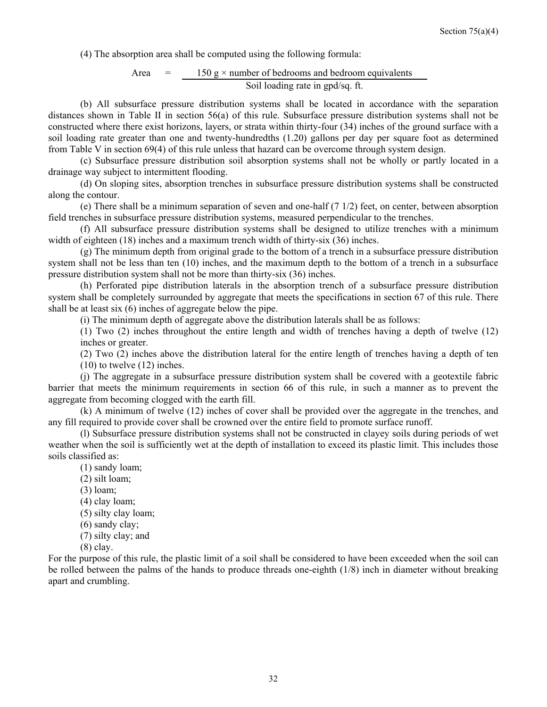(4) The absorption area shall be computed using the following formula:

Area = 
$$
\frac{150 \text{ g} \times \text{number of bedrooms and bedroom equivalents}}{\text{Soil loading rate in gpd/sq. ft.}}
$$

 (b) All subsurface pressure distribution systems shall be located in accordance with the separation distances shown in Table II in section 56(a) of this rule. Subsurface pressure distribution systems shall not be constructed where there exist horizons, layers, or strata within thirty-four (34) inches of the ground surface with a soil loading rate greater than one and twenty-hundredths (1.20) gallons per day per square foot as determined from Table V in section 69(4) of this rule unless that hazard can be overcome through system design.

 (c) Subsurface pressure distribution soil absorption systems shall not be wholly or partly located in a drainage way subject to intermittent flooding.

 (d) On sloping sites, absorption trenches in subsurface pressure distribution systems shall be constructed along the contour.

 (e) There shall be a minimum separation of seven and one-half (7 1/2) feet, on center, between absorption field trenches in subsurface pressure distribution systems, measured perpendicular to the trenches.

 (f) All subsurface pressure distribution systems shall be designed to utilize trenches with a minimum width of eighteen (18) inches and a maximum trench width of thirty-six (36) inches.

 (g) The minimum depth from original grade to the bottom of a trench in a subsurface pressure distribution system shall not be less than ten (10) inches, and the maximum depth to the bottom of a trench in a subsurface pressure distribution system shall not be more than thirty-six (36) inches.

 (h) Perforated pipe distribution laterals in the absorption trench of a subsurface pressure distribution system shall be completely surrounded by aggregate that meets the specifications in section 67 of this rule. There shall be at least six (6) inches of aggregate below the pipe.

(i) The minimum depth of aggregate above the distribution laterals shall be as follows:

(1) Two (2) inches throughout the entire length and width of trenches having a depth of twelve (12) inches or greater.

(2) Two (2) inches above the distribution lateral for the entire length of trenches having a depth of ten  $(10)$  to twelve  $(12)$  inches.

 (j) The aggregate in a subsurface pressure distribution system shall be covered with a geotextile fabric barrier that meets the minimum requirements in section 66 of this rule, in such a manner as to prevent the aggregate from becoming clogged with the earth fill.

 (k) A minimum of twelve (12) inches of cover shall be provided over the aggregate in the trenches, and any fill required to provide cover shall be crowned over the entire field to promote surface runoff.

 (l) Subsurface pressure distribution systems shall not be constructed in clayey soils during periods of wet weather when the soil is sufficiently wet at the depth of installation to exceed its plastic limit. This includes those soils classified as:

(1) sandy loam;

- (2) silt loam;
- (3) loam;
- (4) clay loam;
- (5) silty clay loam;
- (6) sandy clay;
- (7) silty clay; and
- (8) clay.

For the purpose of this rule, the plastic limit of a soil shall be considered to have been exceeded when the soil can be rolled between the palms of the hands to produce threads one-eighth (1/8) inch in diameter without breaking apart and crumbling.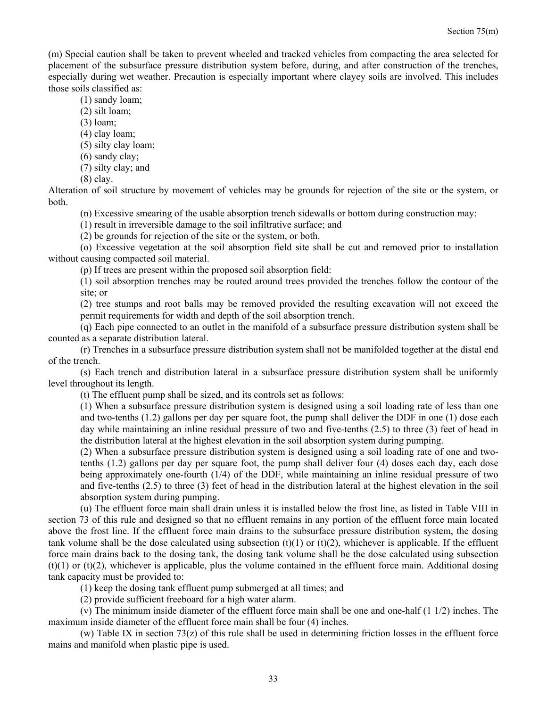(m) Special caution shall be taken to prevent wheeled and tracked vehicles from compacting the area selected for placement of the subsurface pressure distribution system before, during, and after construction of the trenches, especially during wet weather. Precaution is especially important where clayey soils are involved. This includes those soils classified as:

(1) sandy loam;

- (2) silt loam;
- (3) loam;

(4) clay loam;

(5) silty clay loam;

(6) sandy clay;

(7) silty clay; and

(8) clay.

Alteration of soil structure by movement of vehicles may be grounds for rejection of the site or the system, or both.

(n) Excessive smearing of the usable absorption trench sidewalls or bottom during construction may:

(1) result in irreversible damage to the soil infiltrative surface; and

(2) be grounds for rejection of the site or the system, or both.

 (o) Excessive vegetation at the soil absorption field site shall be cut and removed prior to installation without causing compacted soil material.

(p) If trees are present within the proposed soil absorption field:

(1) soil absorption trenches may be routed around trees provided the trenches follow the contour of the site; or

(2) tree stumps and root balls may be removed provided the resulting excavation will not exceed the permit requirements for width and depth of the soil absorption trench.

 (q) Each pipe connected to an outlet in the manifold of a subsurface pressure distribution system shall be counted as a separate distribution lateral.

 (r) Trenches in a subsurface pressure distribution system shall not be manifolded together at the distal end of the trench.

 (s) Each trench and distribution lateral in a subsurface pressure distribution system shall be uniformly level throughout its length.

(t) The effluent pump shall be sized, and its controls set as follows:

(1) When a subsurface pressure distribution system is designed using a soil loading rate of less than one and two-tenths (1.2) gallons per day per square foot, the pump shall deliver the DDF in one (1) dose each day while maintaining an inline residual pressure of two and five-tenths (2.5) to three (3) feet of head in the distribution lateral at the highest elevation in the soil absorption system during pumping.

(2) When a subsurface pressure distribution system is designed using a soil loading rate of one and twotenths (1.2) gallons per day per square foot, the pump shall deliver four (4) doses each day, each dose being approximately one-fourth (1/4) of the DDF, while maintaining an inline residual pressure of two and five-tenths (2.5) to three (3) feet of head in the distribution lateral at the highest elevation in the soil absorption system during pumping.

 (u) The effluent force main shall drain unless it is installed below the frost line, as listed in Table VIII in section 73 of this rule and designed so that no effluent remains in any portion of the effluent force main located above the frost line. If the effluent force main drains to the subsurface pressure distribution system, the dosing tank volume shall be the dose calculated using subsection  $(t)(1)$  or  $(t)(2)$ , whichever is applicable. If the effluent force main drains back to the dosing tank, the dosing tank volume shall be the dose calculated using subsection  $(t)(1)$  or  $(t)(2)$ , whichever is applicable, plus the volume contained in the effluent force main. Additional dosing tank capacity must be provided to:

(1) keep the dosing tank effluent pump submerged at all times; and

(2) provide sufficient freeboard for a high water alarm.

 (v) The minimum inside diameter of the effluent force main shall be one and one-half (1 1/2) inches. The maximum inside diameter of the effluent force main shall be four (4) inches.

 (w) Table IX in section 73(z) of this rule shall be used in determining friction losses in the effluent force mains and manifold when plastic pipe is used.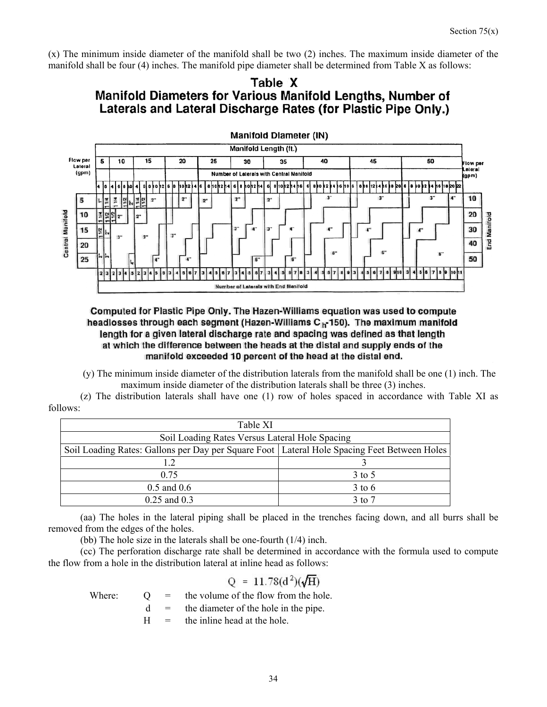(x) The minimum inside diameter of the manifold shall be two (2) inches. The maximum inside diameter of the manifold shall be four (4) inches. The manifold pipe diameter shall be determined from Table X as follows:

# Table X Manifold Diameters for Various Manifold Lengths, Number of Laterals and Lateral Discharge Rates (for Plastic Pipe Only.)





(y) The minimum inside diameter of the distribution laterals from the manifold shall be one (1) inch. The maximum inside diameter of the distribution laterals shall be three (3) inches.

 (z) The distribution laterals shall have one (1) row of holes spaced in accordance with Table XI as follows:

| Table XI                                                                                      |                   |  |  |
|-----------------------------------------------------------------------------------------------|-------------------|--|--|
| Soil Loading Rates Versus Lateral Hole Spacing                                                |                   |  |  |
| Soil Loading Rates: Gallons per Day per Square Foot   Lateral Hole Spacing Feet Between Holes |                   |  |  |
| 1.2                                                                                           |                   |  |  |
| 0.75                                                                                          | 3 to 5            |  |  |
| $0.5$ and $0.6$                                                                               | $3$ to 6          |  |  |
| $0.25$ and $0.3$                                                                              | $3 \text{ to } 7$ |  |  |

 (aa) The holes in the lateral piping shall be placed in the trenches facing down, and all burrs shall be removed from the edges of the holes.

(bb) The hole size in the laterals shall be one-fourth (1/4) inch.

 (cc) The perforation discharge rate shall be determined in accordance with the formula used to compute the flow from a hole in the distribution lateral at inline head as follows:

# $Q = 11.78(d^2)(\sqrt{H})$

Where:  $Q =$  the volume of the flow from the hole.

 $d =$  the diameter of the hole in the pipe.

 $H =$  the inline head at the hole.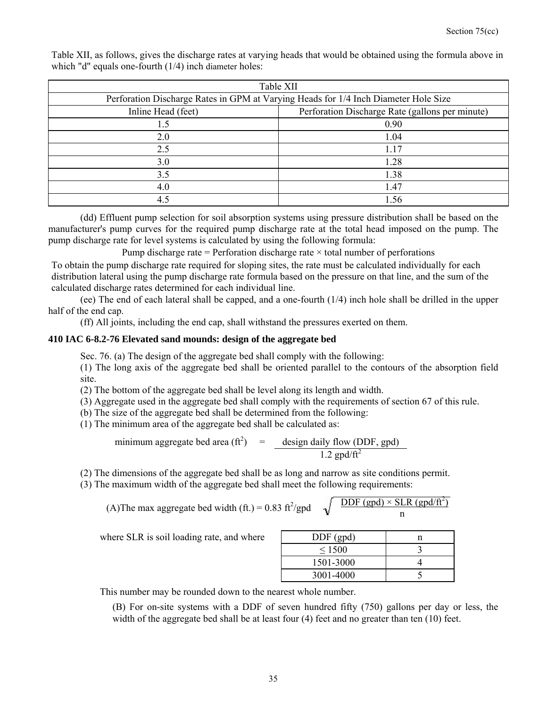| Table XII                                                                           |                                                 |  |  |
|-------------------------------------------------------------------------------------|-------------------------------------------------|--|--|
| Perforation Discharge Rates in GPM at Varying Heads for 1/4 Inch Diameter Hole Size |                                                 |  |  |
| Inline Head (feet)                                                                  | Perforation Discharge Rate (gallons per minute) |  |  |
| 1.5                                                                                 | 0.90                                            |  |  |
| 2.0                                                                                 | 1.04                                            |  |  |
| 2.5                                                                                 | 1.17                                            |  |  |
| 3.0                                                                                 | 1.28                                            |  |  |
| 3.5                                                                                 | 1.38                                            |  |  |
| 4.0                                                                                 | 1.47                                            |  |  |
| 4.5                                                                                 | 1.56                                            |  |  |

Table XII, as follows, gives the discharge rates at varying heads that would be obtained using the formula above in which "d" equals one-fourth (1/4) inch diameter holes:

 (dd) Effluent pump selection for soil absorption systems using pressure distribution shall be based on the manufacturer's pump curves for the required pump discharge rate at the total head imposed on the pump. The pump discharge rate for level systems is calculated by using the following formula:

Pump discharge rate = Perforation discharge rate  $\times$  total number of perforations

To obtain the pump discharge rate required for sloping sites, the rate must be calculated individually for each distribution lateral using the pump discharge rate formula based on the pressure on that line, and the sum of the calculated discharge rates determined for each individual line.

 (ee) The end of each lateral shall be capped, and a one-fourth (1/4) inch hole shall be drilled in the upper half of the end cap.

(ff) All joints, including the end cap, shall withstand the pressures exerted on them.

#### **410 IAC 6-8.2-76 Elevated sand mounds: design of the aggregate bed**

Sec. 76. (a) The design of the aggregate bed shall comply with the following:

(1) The long axis of the aggregate bed shall be oriented parallel to the contours of the absorption field site.

(2) The bottom of the aggregate bed shall be level along its length and width.

(3) Aggregate used in the aggregate bed shall comply with the requirements of section 67 of this rule.

(b) The size of the aggregate bed shall be determined from the following:

(1) The minimum area of the aggregate bed shall be calculated as:

minimum aggregate bed area  $(\text{ft}^2)$  = design daily flow (DDF, gpd)  $1.2$  gpd/ $\overrightarrow{ft^2}$ 

(2) The dimensions of the aggregate bed shall be as long and narrow as site conditions permit.

(3) The maximum width of the aggregate bed shall meet the following requirements:

(A) The max aggregate bed width (ft.) = 0.83 ft<sup>2</sup>/gpd 
$$
\sqrt{\frac{DDF (gpd) \times SLR (gpd/ft^2)}{n}}
$$

where SLR is soil loading rate, and where

| $DDF$ (gpd) |  |
|-------------|--|
| $\leq 1500$ |  |
| 1501-3000   |  |
| 3001-4000   |  |

This number may be rounded down to the nearest whole number.

(B) For on-site systems with a DDF of seven hundred fifty (750) gallons per day or less, the width of the aggregate bed shall be at least four (4) feet and no greater than ten (10) feet.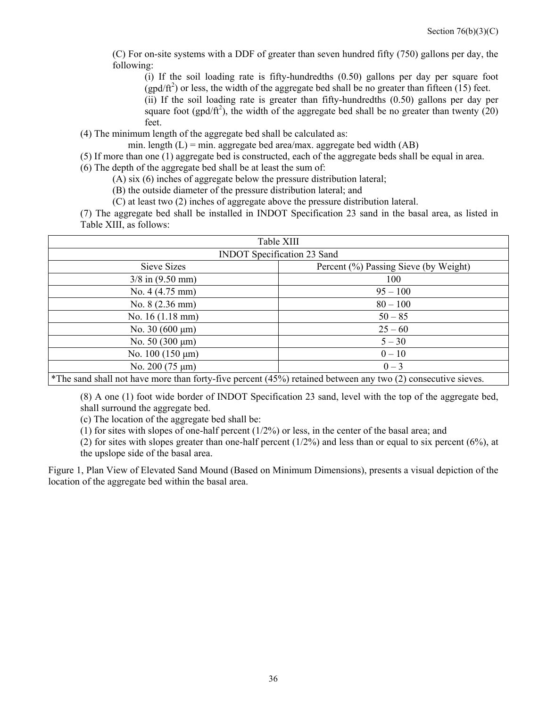(C) For on-site systems with a DDF of greater than seven hundred fifty (750) gallons per day, the following:

(i) If the soil loading rate is fifty-hundredths (0.50) gallons per day per square foot  $(gpd/ft<sup>2</sup>)$  or less, the width of the aggregate bed shall be no greater than fifteen (15) feet. (ii) If the soil loading rate is greater than fifty-hundredths (0.50) gallons per day per

square foot (gpd/ft<sup>2</sup>), the width of the aggregate bed shall be no greater than twenty (20) feet.

(4) The minimum length of the aggregate bed shall be calculated as:

min. length  $(L)$  = min. aggregate bed area/max. aggregate bed width  $(AB)$ 

(5) If more than one (1) aggregate bed is constructed, each of the aggregate beds shall be equal in area.

(6) The depth of the aggregate bed shall be at least the sum of:

(A) six (6) inches of aggregate below the pressure distribution lateral;

(B) the outside diameter of the pressure distribution lateral; and

(C) at least two (2) inches of aggregate above the pressure distribution lateral.

(7) The aggregate bed shall be installed in INDOT Specification 23 sand in the basal area, as listed in Table XIII, as follows:

| Table XIII                                                                                                   |            |  |  |
|--------------------------------------------------------------------------------------------------------------|------------|--|--|
| <b>INDOT</b> Specification 23 Sand                                                                           |            |  |  |
| Sieve Sizes<br>Percent (%) Passing Sieve (by Weight)                                                         |            |  |  |
| $3/8$ in $(9.50$ mm)<br>100                                                                                  |            |  |  |
| No. $4(4.75 \text{ mm})$                                                                                     | $95 - 100$ |  |  |
| No. $8(2.36 \text{ mm})$                                                                                     | $80 - 100$ |  |  |
| No. $16(1.18 \text{ mm})$                                                                                    | $50 - 85$  |  |  |
| No. 30 $(600 \,\mu m)$                                                                                       | $25 - 60$  |  |  |
| No. $50(300 \mu m)$                                                                                          | $5 - 30$   |  |  |
| No. $100(150 \mu m)$                                                                                         | $0 - 10$   |  |  |
| $0 - 3$<br>No. $200(75 \text{ }\mu\text{m})$                                                                 |            |  |  |
| *The sand shall not have more than forty-five percent (45%) retained between any two (2) consecutive sieves. |            |  |  |

(8) A one (1) foot wide border of INDOT Specification 23 sand, level with the top of the aggregate bed, shall surround the aggregate bed.

(c) The location of the aggregate bed shall be:

(1) for sites with slopes of one-half percent (1/2%) or less, in the center of the basal area; and

(2) for sites with slopes greater than one-half percent  $(1/2%)$  and less than or equal to six percent  $(6%)$ , at the upslope side of the basal area.

Figure 1, Plan View of Elevated Sand Mound (Based on Minimum Dimensions), presents a visual depiction of the location of the aggregate bed within the basal area.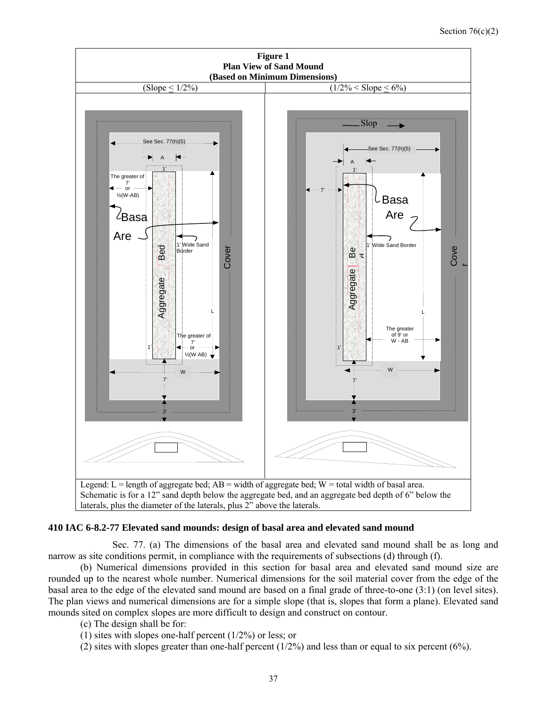

#### **410 IAC 6-8.2-77 Elevated sand mounds: design of basal area and elevated sand mound**

 Sec. 77. (a) The dimensions of the basal area and elevated sand mound shall be as long and narrow as site conditions permit, in compliance with the requirements of subsections (d) through (f).

 (b) Numerical dimensions provided in this section for basal area and elevated sand mound size are rounded up to the nearest whole number. Numerical dimensions for the soil material cover from the edge of the basal area to the edge of the elevated sand mound are based on a final grade of three-to-one (3:1) (on level sites). The plan views and numerical dimensions are for a simple slope (that is, slopes that form a plane). Elevated sand mounds sited on complex slopes are more difficult to design and construct on contour.

- (c) The design shall be for:
- (1) sites with slopes one-half percent  $(1/2\%)$  or less; or

(2) sites with slopes greater than one-half percent (1/2%) and less than or equal to six percent (6%).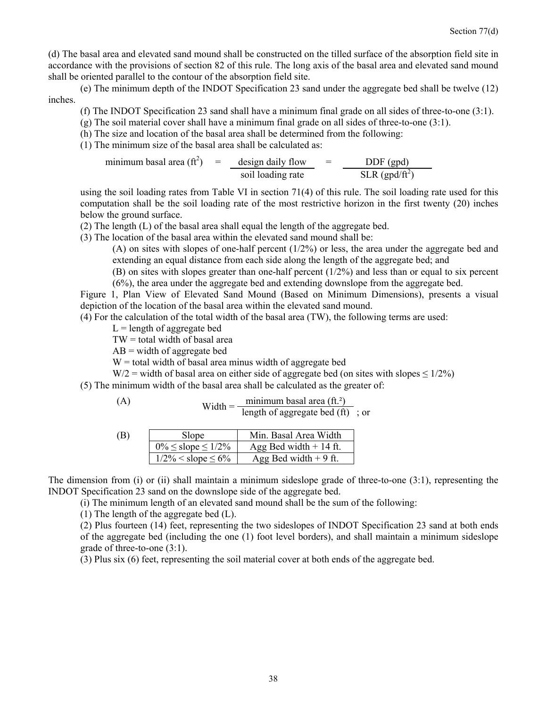(d) The basal area and elevated sand mound shall be constructed on the tilled surface of the absorption field site in accordance with the provisions of section 82 of this rule. The long axis of the basal area and elevated sand mound shall be oriented parallel to the contour of the absorption field site.

 (e) The minimum depth of the INDOT Specification 23 sand under the aggregate bed shall be twelve (12) inches.

- (f) The INDOT Specification 23 sand shall have a minimum final grade on all sides of three-to-one (3:1).
- (g) The soil material cover shall have a minimum final grade on all sides of three-to-one (3:1).
- (h) The size and location of the basal area shall be determined from the following:
- (1) The minimum size of the basal area shall be calculated as:

minimum basal area (ft<sup>2</sup>) = 
$$
\frac{\text{design daily flow}}{\text{soil loading rate}}
$$
 =  $\frac{\text{DDF (gpd)}}{\text{SLR (gpd/ft}^2)}$ 

using the soil loading rates from Table VI in section 71(4) of this rule. The soil loading rate used for this computation shall be the soil loading rate of the most restrictive horizon in the first twenty (20) inches below the ground surface.

(2) The length (L) of the basal area shall equal the length of the aggregate bed.

(3) The location of the basal area within the elevated sand mound shall be:

(A) on sites with slopes of one-half percent  $(1/2%)$  or less, the area under the aggregate bed and extending an equal distance from each side along the length of the aggregate bed; and

(B) on sites with slopes greater than one-half percent  $(1/2%)$  and less than or equal to six percent (6%), the area under the aggregate bed and extending downslope from the aggregate bed.

Figure 1, Plan View of Elevated Sand Mound (Based on Minimum Dimensions), presents a visual depiction of the location of the basal area within the elevated sand mound.

(4) For the calculation of the total width of the basal area (TW), the following terms are used:

 $L =$  length of aggregate bed

 $TW = total width of basal area$ 

 $AB = width of aggregate bed$ 

 $W =$  total width of basal area minus width of aggregate bed

W/2 = width of basal area on either side of aggregate bed (on sites with slopes  $\leq 1/2\%$ )

(5) The minimum width of the basal area shall be calculated as the greater of:

(A)   
Width = 
$$
\frac{\text{minimum basal area (ft.2)}}{\text{length of aggregate bed (ft)}}; \text{ or}
$$

| (B) | Slope                         | Min. Basal Area Width    |  |
|-----|-------------------------------|--------------------------|--|
|     | $0\% \leq$ slope $\leq 1/2\%$ | Agg Bed width $+$ 14 ft. |  |
|     | $1/2\% <$ slope $\leq 6\%$    | Agg Bed width $+9$ ft.   |  |

The dimension from (i) or (ii) shall maintain a minimum sideslope grade of three-to-one (3:1), representing the INDOT Specification 23 sand on the downslope side of the aggregate bed.

(i) The minimum length of an elevated sand mound shall be the sum of the following:

(1) The length of the aggregate bed (L).

(2) Plus fourteen (14) feet, representing the two sideslopes of INDOT Specification 23 sand at both ends of the aggregate bed (including the one (1) foot level borders), and shall maintain a minimum sideslope grade of three-to-one (3:1).

(3) Plus six (6) feet, representing the soil material cover at both ends of the aggregate bed.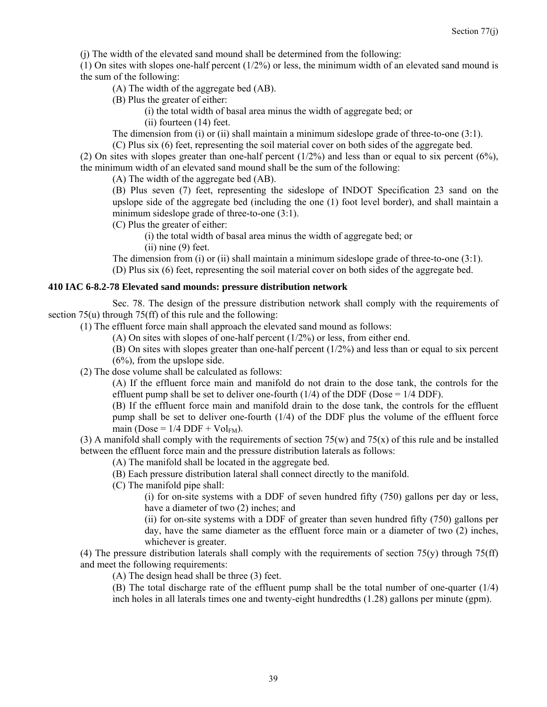(j) The width of the elevated sand mound shall be determined from the following:

(1) On sites with slopes one-half percent  $(1/2%)$  or less, the minimum width of an elevated sand mound is the sum of the following:

(A) The width of the aggregate bed (AB).

(B) Plus the greater of either:

(i) the total width of basal area minus the width of aggregate bed; or

(ii) fourteen (14) feet.

The dimension from (i) or (ii) shall maintain a minimum sideslope grade of three-to-one (3:1).

(C) Plus six (6) feet, representing the soil material cover on both sides of the aggregate bed.

(2) On sites with slopes greater than one-half percent (1/2%) and less than or equal to six percent (6%), the minimum width of an elevated sand mound shall be the sum of the following:

(A) The width of the aggregate bed (AB).

(B) Plus seven (7) feet, representing the sideslope of INDOT Specification 23 sand on the upslope side of the aggregate bed (including the one (1) foot level border), and shall maintain a minimum sideslope grade of three-to-one  $(3:1)$ .

(C) Plus the greater of either:

(i) the total width of basal area minus the width of aggregate bed; or

(ii) nine (9) feet.

The dimension from (i) or (ii) shall maintain a minimum sideslope grade of three-to-one (3:1). (D) Plus six (6) feet, representing the soil material cover on both sides of the aggregate bed.

#### **410 IAC 6-8.2-78 Elevated sand mounds: pressure distribution network**

 Sec. 78. The design of the pressure distribution network shall comply with the requirements of section 75(u) through 75(ff) of this rule and the following:

(1) The effluent force main shall approach the elevated sand mound as follows:

(A) On sites with slopes of one-half percent (1/2%) or less, from either end.

(B) On sites with slopes greater than one-half percent (1/2%) and less than or equal to six percent (6%), from the upslope side.

(2) The dose volume shall be calculated as follows:

(A) If the effluent force main and manifold do not drain to the dose tank, the controls for the effluent pump shall be set to deliver one-fourth  $(1/4)$  of the DDF (Dose =  $1/4$  DDF).

(B) If the effluent force main and manifold drain to the dose tank, the controls for the effluent pump shall be set to deliver one-fourth (1/4) of the DDF plus the volume of the effluent force main (Dose =  $1/4$  DDF + Vol<sub>FM</sub>).

(3) A manifold shall comply with the requirements of section  $75(w)$  and  $75(x)$  of this rule and be installed between the effluent force main and the pressure distribution laterals as follows:

(A) The manifold shall be located in the aggregate bed.

(B) Each pressure distribution lateral shall connect directly to the manifold.

(C) The manifold pipe shall:

(i) for on-site systems with a DDF of seven hundred fifty (750) gallons per day or less, have a diameter of two (2) inches; and

(ii) for on-site systems with a DDF of greater than seven hundred fifty (750) gallons per day, have the same diameter as the effluent force main or a diameter of two (2) inches, whichever is greater.

(4) The pressure distribution laterals shall comply with the requirements of section  $75(y)$  through  $75(ff)$ and meet the following requirements:

(A) The design head shall be three (3) feet.

(B) The total discharge rate of the effluent pump shall be the total number of one-quarter (1/4) inch holes in all laterals times one and twenty-eight hundredths (1.28) gallons per minute (gpm).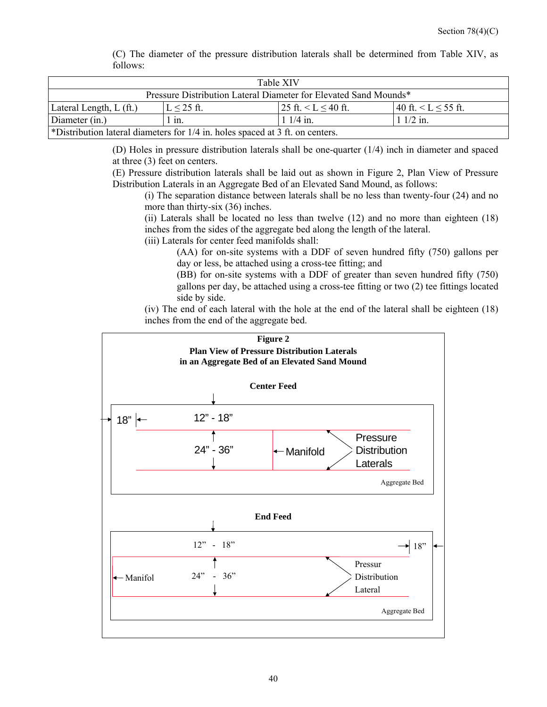| Table XIV                                                                     |                 |                              |                           |  |  |
|-------------------------------------------------------------------------------|-----------------|------------------------------|---------------------------|--|--|
| Pressure Distribution Lateral Diameter for Elevated Sand Mounds*              |                 |                              |                           |  |  |
| Lateral Length, $L(f_t)$                                                      | $L \leq 25$ ft. | $125$ ft. $\le L \le 40$ ft. | 40 ft. $\lt L \le 55$ ft. |  |  |
| Diameter (in.)                                                                | $1$ in.         | $11/4$ in.                   | $11/2$ in.                |  |  |
| *Distribution lateral diameters for 1/4 in. holes spaced at 3 ft. on centers. |                 |                              |                           |  |  |

(C) The diameter of the pressure distribution laterals shall be determined from Table XIV, as follows:

(D) Holes in pressure distribution laterals shall be one-quarter (1/4) inch in diameter and spaced at three (3) feet on centers.

(E) Pressure distribution laterals shall be laid out as shown in Figure 2, Plan View of Pressure Distribution Laterals in an Aggregate Bed of an Elevated Sand Mound, as follows:

(i) The separation distance between laterals shall be no less than twenty-four (24) and no more than thirty-six (36) inches.

(ii) Laterals shall be located no less than twelve (12) and no more than eighteen (18) inches from the sides of the aggregate bed along the length of the lateral.

(iii) Laterals for center feed manifolds shall:

(AA) for on-site systems with a DDF of seven hundred fifty (750) gallons per day or less, be attached using a cross-tee fitting; and

(BB) for on-site systems with a DDF of greater than seven hundred fifty (750) gallons per day, be attached using a cross-tee fitting or two (2) tee fittings located side by side.

(iv) The end of each lateral with the hole at the end of the lateral shall be eighteen (18) inches from the end of the aggregate bed.

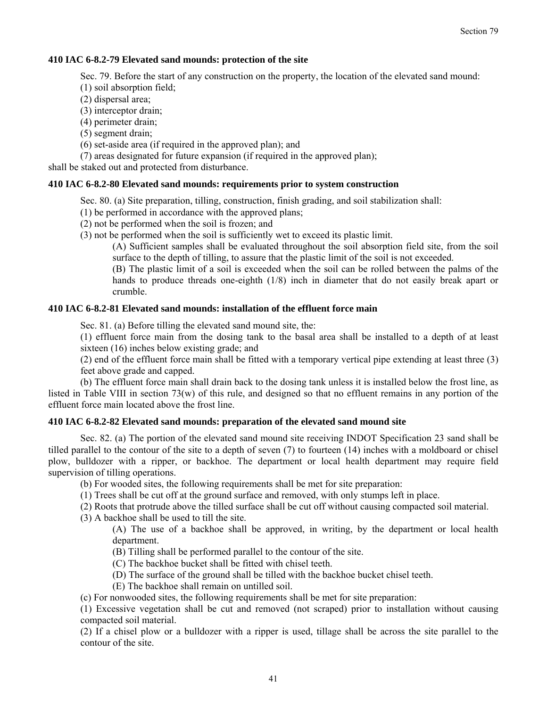#### **410 IAC 6-8.2-79 Elevated sand mounds: protection of the site**

Sec. 79. Before the start of any construction on the property, the location of the elevated sand mound:

(1) soil absorption field;

(2) dispersal area;

(3) interceptor drain;

(4) perimeter drain;

(5) segment drain;

(6) set-aside area (if required in the approved plan); and

(7) areas designated for future expansion (if required in the approved plan);

shall be staked out and protected from disturbance.

#### **410 IAC 6-8.2-80 Elevated sand mounds: requirements prior to system construction**

Sec. 80. (a) Site preparation, tilling, construction, finish grading, and soil stabilization shall:

(1) be performed in accordance with the approved plans;

(2) not be performed when the soil is frozen; and

(3) not be performed when the soil is sufficiently wet to exceed its plastic limit.

(A) Sufficient samples shall be evaluated throughout the soil absorption field site, from the soil surface to the depth of tilling, to assure that the plastic limit of the soil is not exceeded.

(B) The plastic limit of a soil is exceeded when the soil can be rolled between the palms of the hands to produce threads one-eighth (1/8) inch in diameter that do not easily break apart or crumble.

#### **410 IAC 6-8.2-81 Elevated sand mounds: installation of the effluent force main**

Sec. 81. (a) Before tilling the elevated sand mound site, the:

(1) effluent force main from the dosing tank to the basal area shall be installed to a depth of at least sixteen (16) inches below existing grade; and

(2) end of the effluent force main shall be fitted with a temporary vertical pipe extending at least three (3) feet above grade and capped.

 (b) The effluent force main shall drain back to the dosing tank unless it is installed below the frost line, as listed in Table VIII in section 73(w) of this rule, and designed so that no effluent remains in any portion of the effluent force main located above the frost line.

#### **410 IAC 6-8.2-82 Elevated sand mounds: preparation of the elevated sand mound site**

 Sec. 82. (a) The portion of the elevated sand mound site receiving INDOT Specification 23 sand shall be tilled parallel to the contour of the site to a depth of seven (7) to fourteen (14) inches with a moldboard or chisel plow, bulldozer with a ripper, or backhoe. The department or local health department may require field supervision of tilling operations.

(b) For wooded sites, the following requirements shall be met for site preparation:

(1) Trees shall be cut off at the ground surface and removed, with only stumps left in place.

(2) Roots that protrude above the tilled surface shall be cut off without causing compacted soil material.

(3) A backhoe shall be used to till the site.

(A) The use of a backhoe shall be approved, in writing, by the department or local health department.

(B) Tilling shall be performed parallel to the contour of the site.

(C) The backhoe bucket shall be fitted with chisel teeth.

(D) The surface of the ground shall be tilled with the backhoe bucket chisel teeth.

(E) The backhoe shall remain on untilled soil.

(c) For nonwooded sites, the following requirements shall be met for site preparation:

(1) Excessive vegetation shall be cut and removed (not scraped) prior to installation without causing compacted soil material.

(2) If a chisel plow or a bulldozer with a ripper is used, tillage shall be across the site parallel to the contour of the site.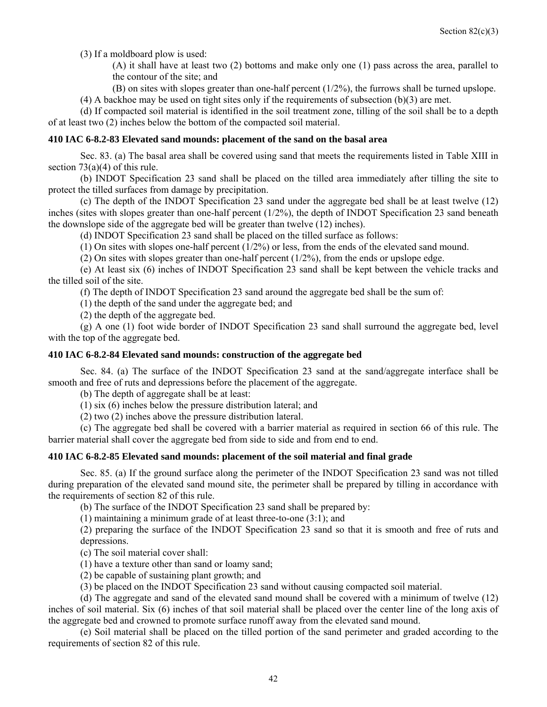(3) If a moldboard plow is used:

(A) it shall have at least two (2) bottoms and make only one (1) pass across the area, parallel to the contour of the site; and

(B) on sites with slopes greater than one-half percent (1/2%), the furrows shall be turned upslope.  $(4)$  A backhoe may be used on tight sites only if the requirements of subsection  $(b)(3)$  are met.

(d) If compacted soil material is identified in the soil treatment zone, tilling of the soil shall be to a depth

of at least two (2) inches below the bottom of the compacted soil material.

#### **410 IAC 6-8.2-83 Elevated sand mounds: placement of the sand on the basal area**

 Sec. 83. (a) The basal area shall be covered using sand that meets the requirements listed in Table XIII in section  $73(a)(4)$  of this rule.

 (b) INDOT Specification 23 sand shall be placed on the tilled area immediately after tilling the site to protect the tilled surfaces from damage by precipitation.

 (c) The depth of the INDOT Specification 23 sand under the aggregate bed shall be at least twelve (12) inches (sites with slopes greater than one-half percent (1/2%), the depth of INDOT Specification 23 sand beneath the downslope side of the aggregate bed will be greater than twelve (12) inches).

(d) INDOT Specification 23 sand shall be placed on the tilled surface as follows:

(1) On sites with slopes one-half percent  $(1/2%)$  or less, from the ends of the elevated sand mound.

(2) On sites with slopes greater than one-half percent  $(1/2%)$ , from the ends or upslope edge.

 (e) At least six (6) inches of INDOT Specification 23 sand shall be kept between the vehicle tracks and the tilled soil of the site.

(f) The depth of INDOT Specification 23 sand around the aggregate bed shall be the sum of:

(1) the depth of the sand under the aggregate bed; and

(2) the depth of the aggregate bed.

 (g) A one (1) foot wide border of INDOT Specification 23 sand shall surround the aggregate bed, level with the top of the aggregate bed.

#### **410 IAC 6-8.2-84 Elevated sand mounds: construction of the aggregate bed**

 Sec. 84. (a) The surface of the INDOT Specification 23 sand at the sand/aggregate interface shall be smooth and free of ruts and depressions before the placement of the aggregate.

(b) The depth of aggregate shall be at least:

(1) six (6) inches below the pressure distribution lateral; and

(2) two (2) inches above the pressure distribution lateral.

 (c) The aggregate bed shall be covered with a barrier material as required in section 66 of this rule. The barrier material shall cover the aggregate bed from side to side and from end to end.

#### **410 IAC 6-8.2-85 Elevated sand mounds: placement of the soil material and final grade**

 Sec. 85. (a) If the ground surface along the perimeter of the INDOT Specification 23 sand was not tilled during preparation of the elevated sand mound site, the perimeter shall be prepared by tilling in accordance with the requirements of section 82 of this rule.

(b) The surface of the INDOT Specification 23 sand shall be prepared by:

(1) maintaining a minimum grade of at least three-to-one (3:1); and

(2) preparing the surface of the INDOT Specification 23 sand so that it is smooth and free of ruts and depressions.

(c) The soil material cover shall:

(1) have a texture other than sand or loamy sand;

(2) be capable of sustaining plant growth; and

(3) be placed on the INDOT Specification 23 sand without causing compacted soil material.

 (d) The aggregate and sand of the elevated sand mound shall be covered with a minimum of twelve (12) inches of soil material. Six (6) inches of that soil material shall be placed over the center line of the long axis of the aggregate bed and crowned to promote surface runoff away from the elevated sand mound.

 (e) Soil material shall be placed on the tilled portion of the sand perimeter and graded according to the requirements of section 82 of this rule.